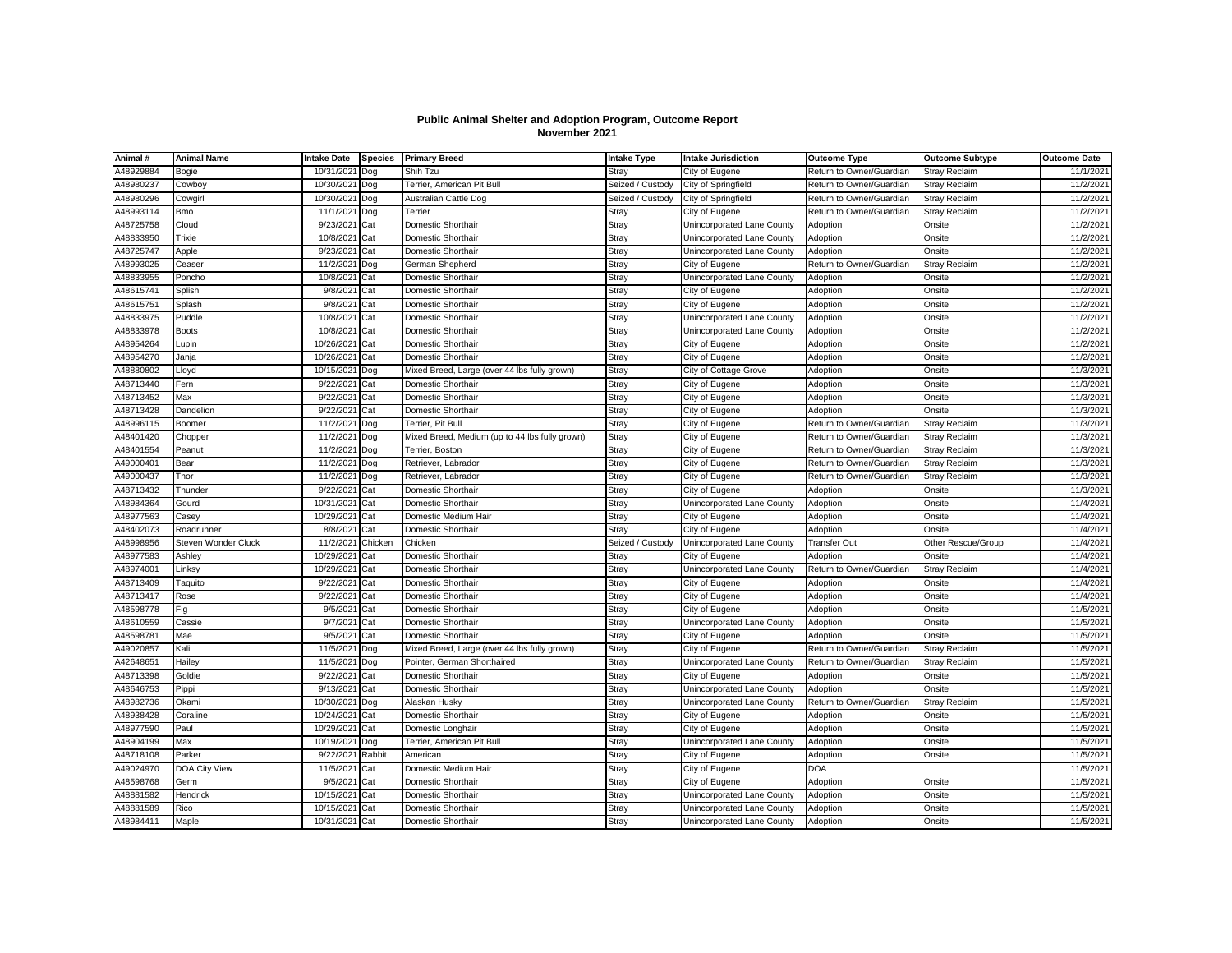## **Public Animal Shelter and Adoption Program, Outcome Report November 2021**

| Animal #  | <b>Animal Name</b>  | Intake Date           | <b>Species</b> | <b>Primary Breed</b>                           | <b>Intake Type</b> | <b>Intake Jurisdiction</b>                   | <b>Outcome Type</b>      | <b>Outcome Subtype</b>  | <b>Outcome Date</b>   |
|-----------|---------------------|-----------------------|----------------|------------------------------------------------|--------------------|----------------------------------------------|--------------------------|-------------------------|-----------------------|
| A48929884 | Bogie               | 10/31/202             | Dog            | Shih Tzu                                       | Strav              | City of Eugene                               | Return to Owner/Guardian | <b>Stray Reclaim</b>    | 11/1/2021             |
| A48980237 | Cowboy              | 10/30/202             | Dog            | Terrier, American Pit Bull                     | Seized / Custody   | City of Springfield                          | Return to Owner/Guardian | <b>Stray Reclaim</b>    | 11/2/2021             |
| A48980296 | Cowgirl             | 10/30/202             | Dog            | Australian Cattle Dog                          | Seized / Custody   | City of Springfield                          | Return to Owner/Guardian | Stray Reclaim           | 11/2/2021             |
| A48993114 | <b>Bmo</b>          | 11/1/202              | Dog            | Terrier                                        | Stray              | City of Eugene                               | Return to Owner/Guardian | Stray Reclaim           | 11/2/2021             |
| A48725758 | Cloud               | 9/23/202              | Cat            | Domestic Shorthair                             | Stray              | Unincorporated Lane County                   | Adoption                 | Onsite                  | 11/2/2021             |
| A48833950 | Trixie              | 10/8/2021             | Cat            | Domestic Shorthair                             | Stray              | Unincorporated Lane County                   | Adoption                 | Onsite                  | 11/2/2021             |
| A48725747 | Apple               | 9/23/2021             | Cat            | Domestic Shorthair                             | Stray              | Unincorporated Lane County                   | Adoption                 | Onsite                  | 11/2/2021             |
| A48993025 | Ceaser              | 11/2/202              | Dog            | German Shepherd                                | Stray              | City of Eugene                               | Return to Owner/Guardian | Stray Reclaim           | 11/2/2021             |
| A48833955 | Poncho              | 10/8/202              | Cat            | Domestic Shorthair                             | Stray              | Unincorporated Lane County                   | Adoption                 | Onsite                  | 11/2/2021             |
| A48615741 | Splish              | 9/8/202               | Cat            | Domestic Shorthair                             | Stray              | City of Eugene                               | Adoption                 | Onsite                  | 11/2/2021             |
| A48615751 | Splash              | 9/8/202               | Cat            | Domestic Shorthair                             | Stray              | City of Eugene                               | Adoption                 | Onsite                  | 11/2/2021             |
| A48833975 | Puddle              | 10/8/202              | Cat            | Domestic Shorthair                             | Stray              | Unincorporated Lane County                   | Adoption                 | Onsite                  | 11/2/2021             |
| A48833978 | <b>Boots</b>        | 10/8/202              | Cat            | Domestic Shorthair                             | Stray              | Unincorporated Lane County                   | Adoption                 | Onsite                  | 11/2/202              |
| A48954264 | Lupin               | 10/26/202             | Cat            | Domestic Shorthair                             | Stray              | City of Eugene                               | Adoption                 | Onsite                  | 11/2/202              |
| A48954270 | Janja               | 10/26/202             | Cat            | Domestic Shorthair                             | Stray              | City of Eugene                               | Adoption                 | Onsite                  | 11/2/202              |
| A48880802 | Lloyd               | 10/15/202             | Dog            | Mixed Breed, Large (over 44 lbs fully grown)   | Stray              | City of Cottage Grove                        | Adoption                 | Onsite                  | 11/3/2021             |
| A48713440 | Fern                | 9/22/202              | Cat            | Domestic Shorthair                             | Stray              | City of Eugene                               | Adoption                 | Onsite                  | 11/3/2021             |
| A48713452 | Max                 | 9/22/202              | Cat            | Domestic Shorthair                             | Stray              | City of Eugene                               | Adoption                 | Onsite                  | 11/3/2021             |
| A48713428 | Dandelion           | 9/22/202              | Cat            | Domestic Shorthair                             | Stray              | City of Eugene                               | Adoption                 | Onsite                  | 11/3/2021             |
| A48996115 | Boomer              | 11/2/202              | Dog            | Terrier, Pit Bull                              | Stray              | City of Eugene                               | Return to Owner/Guardian | Stray Reclaim           | 11/3/2021             |
| A48401420 | Chopper             | 11/2/202              | Dog            | Mixed Breed, Medium (up to 44 lbs fully grown) | Stray              | City of Eugene                               | Return to Owner/Guardian | <b>Stray Reclaim</b>    | 11/3/2021             |
| A48401554 | Peanut              | 11/2/202              | Dog            | Terrier, Boston                                | Stray              | City of Eugene                               | Return to Owner/Guardian | Stray Reclaim           | 11/3/2021             |
| A49000401 | Bear                | 11/2/202              | Dog            | Retriever, Labrador                            | Stray              | City of Eugene                               | Return to Owner/Guardian | Stray Reclaim           | 11/3/2021             |
| A49000437 | Thor                | 11/2/202              | Dog            | Retriever, Labrador                            | Stray              | City of Eugene                               | Return to Owner/Guardian | Stray Reclaim           | 11/3/2021             |
| A48713432 | Thunder             | 9/22/202              | Cat            | Domestic Shorthair                             | Stray              | City of Eugene                               | Adoption                 | Onsite                  | 11/3/2021             |
| A48984364 | Gourd               | 10/31/202             | Cat            | Domestic Shorthair                             | Stray              | Unincorporated Lane County                   | Adoption                 | Onsite                  | 11/4/2021             |
| A48977563 | Casey               | 10/29/202             | Cat            | Domestic Medium Hair                           | Stray              | City of Eugene                               | Adoption                 | Onsite                  | 11/4/2021             |
| A48402073 | Roadrunner          | 8/8/202               | Cat            | Domestic Shorthair                             | Stray              | City of Eugene                               | Adoption                 | Onsite                  | 11/4/2021             |
| A48998956 | Steven Wonder Cluck | 11/2/202              | Chicken        | Chicken                                        | Seized / Custody   | Unincorporated Lane County                   | <b>Transfer Out</b>      | Other Rescue/Group      | 11/4/2021             |
| A48977583 | Ashley              | 10/29/202             | Cat            | Domestic Shorthair                             | Stray              | City of Eugene                               | Adoption                 | Onsite                  | 11/4/2021             |
| A48974001 | Linksy              | 10/29/202             | Cat            | Domestic Shorthair                             | Stray              | Unincorporated Lane County                   | Return to Owner/Guardian | <b>Stray Reclaim</b>    | 11/4/202              |
| A48713409 | Taquito             | 9/22/202              | Cat            | Domestic Shorthair                             | Stray              | City of Eugene                               | Adoption                 | Onsite                  | 11/4/2021             |
| A48713417 | Rose                | 9/22/202              | Cat            | Domestic Shorthair                             | Stray              | City of Eugene                               | Adoption                 | Onsite                  | 11/4/2021             |
| A48598778 | Fig                 | 9/5/202               | Cat            | Domestic Shorthair                             | Stray              | City of Eugene                               | Adoption                 | Onsite                  | 11/5/2021             |
| A48610559 | Cassie              | 9/7/202               | Cat            | Domestic Shorthair                             | Stray              | Unincorporated Lane County                   | Adoption                 | Onsite                  | 11/5/2021             |
| A48598781 | Mae                 | 9/5/202               | Cat            | Domestic Shorthair                             | Stray              | City of Eugene                               | Adoption                 | Onsite                  | 11/5/2021             |
| A49020857 | Kali                | 11/5/202              | Dog            | Mixed Breed, Large (over 44 lbs fully grown)   | Stray              | City of Eugene                               | Return to Owner/Guardian | Stray Reclaim           | 11/5/2021             |
| A42648651 | Hailey              | 11/5/202              | Dog            | Pointer, German Shorthaired                    | Stray              | Unincorporated Lane County                   | Return to Owner/Guardian | Stray Reclaim           | 11/5/202              |
| A48713398 | Goldie              | 9/22/2021             | Cat            | Domestic Shorthair                             | Stray              | City of Eugene                               | Adoption                 | Onsite                  | 11/5/2021             |
| A48646753 | Pippi               | 9/13/202              | Cat            | Domestic Shorthair                             | Stray              | Unincorporated Lane County                   | Adoption                 | Onsite                  | 11/5/2021             |
| A48982736 | Okami               | 10/30/202             |                | Alaskan Husky                                  | Stray              |                                              | Return to Owner/Guardian |                         | 11/5/2021             |
| A48938428 | Coraline            | 10/24/202             | Dog<br>Cat     | Domestic Shorthair                             | Stray              | Unincorporated Lane County<br>City of Eugene | Adoption                 | Stray Reclaim<br>Onsite | 11/5/2021             |
| A48977590 | Paul                |                       |                |                                                |                    |                                              |                          |                         | 11/5/2021             |
|           |                     | 10/29/202             | Cat            | Domestic Longhair                              | Stray              | City of Eugene                               | Adoption                 | Onsite                  |                       |
| A48904199 | Max<br>Parker       | 10/19/202<br>9/22/202 | Doq            | Terrier, American Pit Bull<br>American         | Stray              | Unincorporated Lane County                   | Adoption                 | Onsite<br>Onsite        | 11/5/2021<br>11/5/202 |
| A48718108 |                     |                       | Rabbit         |                                                | Stray              | City of Eugene                               | Adoption                 |                         |                       |
| A49024970 | DOA City View       | 11/5/202              | Cat            | Domestic Medium Hair                           | Stray              | City of Eugene                               | <b>DOA</b>               |                         | 11/5/202              |
| A48598768 | Germ                | 9/5/202               | Cat            | Domestic Shorthair                             | Stray              | City of Eugene                               | Adoption                 | Onsite                  | 11/5/202              |
| A48881582 | Hendrick            | 10/15/202             | Cat            | Domestic Shorthair                             | Stray              | Unincorporated Lane County                   | Adoption                 | Onsite                  | 11/5/2021             |
| A48881589 | Rico                | 10/15/202             | Cat            | Domestic Shorthair                             | Stray              | Unincorporated Lane County                   | Adoption                 | Onsite                  | 11/5/2021             |
| A48984411 | Maple               | 10/31/2021            | Cat            | Domestic Shorthair                             | Stray              | Unincorporated Lane County                   | Adoption                 | Onsite                  | 11/5/2021             |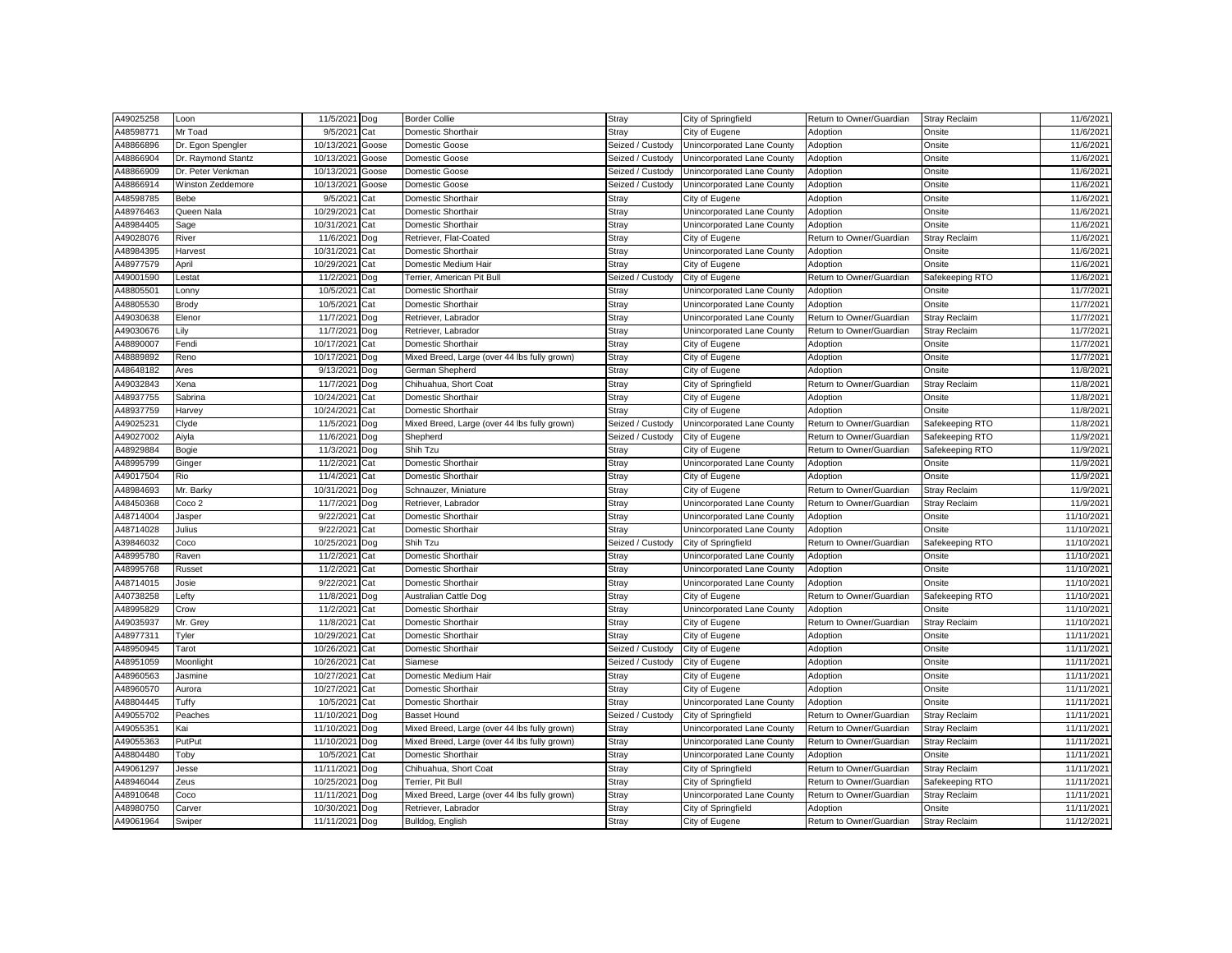| A48598771<br>Mr Toad<br>9/5/202<br>11/6/2021<br>Cat<br>Domestic Shorthair<br>Stray<br>City of Eugene<br>Adoption<br>Onsite<br>A48866896<br>10/13/2021<br>Unincorporated Lane County<br>11/6/2021<br>Dr. Egon Spengler<br>Domestic Goose<br>Seized / Custody<br>Adoption<br>Onsite<br>Goose<br>11/6/2021<br>A48866904<br>Dr. Raymond Stantz<br>10/13/2021<br>Goose<br>Domestic Goose<br>Seized / Custody<br>Unincorporated Lane County<br>Adoption<br>Onsite<br>A48866909<br>10/13/202<br>Seized / Custody<br>11/6/2021<br>Dr. Peter Venkman<br>Goose<br>Domestic Goose<br>Unincorporated Lane County<br>Adoption<br>Onsite<br>A48866914<br>Winston Zeddemore<br>10/13/202<br>Goose<br>Domestic Goose<br>Seized / Custody<br>Unincorporated Lane County<br>Adoption<br>Onsite<br>11/6/2021<br>11/6/2021<br>A48598785<br>9/5/202<br>Domestic Shorthair<br>Adoption<br>Bebe<br>Cat<br>Stray<br>City of Eugene<br>Onsite<br>A48976463<br>10/29/2021<br>Stray<br>Adoption<br>Onsite<br>Queen Nala<br>Cat<br>Domestic Shorthair<br>Unincorporated Lane County<br>11/6/2021<br>A48984405<br>10/31/202<br>11/6/2021<br>Domestic Shorthair<br>Stray<br>Unincorporated Lane County<br>Adoption<br>Onsite<br>Sage<br>Cat<br>A49028076<br>Return to Owner/Guardian<br>11/6/2021<br>River<br>11/6/202<br>Dog<br>Retriever, Flat-Coated<br>Stray<br>City of Eugene<br><b>Stray Reclaim</b><br>A48984395<br>Stray<br>Harvest<br>10/31/202<br>Domestic Shorthair<br>Unincorporated Lane County<br>Adoption<br>Onsite<br>11/6/2021<br>Cat<br>A48977579<br>11/6/2021<br>10/29/2021<br>Domestic Medium Hair<br>Stray<br>City of Eugene<br>Onsite<br>April<br>Cat<br>Adoption<br>A49001590<br>11/2/2021<br>Seized / Custody<br>City of Eugene<br>Return to Owner/Guardian<br>Safekeeping RTO<br>11/6/2021<br>Lestat<br>Dog<br>Terrier, American Pit Bull<br>11/7/2021<br>A48805501<br>10/5/202<br>Domestic Shorthair<br>Stray<br>Unincorporated Lane County<br>Adoption<br>Onsite<br>Lonny<br>Cat<br>11/7/2021<br>A48805530<br>Brody<br>10/5/202<br>Cat<br>Domestic Shorthair<br>Stray<br>Unincorporated Lane County<br>Adoption<br>Onsite<br>A49030638<br>11/7/2021<br>Retriever, Labrador<br>Return to Owner/Guardian<br>11/7/2021<br>Elenor<br>Stray<br>Unincorporated Lane County<br>Stray Reclaim<br>Dog<br>11/7/2021<br>A49030676<br>11/7/2021<br>Stray<br>Return to Owner/Guardian<br><b>Stray Reclaim</b><br>Lily<br>Dog<br>Retriever, Labrador<br>Unincorporated Lane County<br>A48890007<br>10/17/202<br>Stray<br>11/7/2021<br>Fendi<br>Cat<br>Domestic Shorthair<br>City of Eugene<br>Adoption<br>Onsite<br>A48889892<br>Reno<br>10/17/202<br>Mixed Breed, Large (over 44 lbs fully grown)<br>Stray<br>City of Eugene<br>Adoption<br>Onsite<br>11/7/2021<br>Dog<br>A48648182<br>9/13/202<br>Onsite<br>11/8/2021<br>Ares<br>German Shepherd<br>Stray<br>City of Eugene<br>Adoption<br>Dog<br>A49032843<br>Stray<br><b>Stray Reclaim</b><br>Xena<br>11/7/2021<br>Dog<br>Chihuahua, Short Coat<br>City of Springfield<br>Return to Owner/Guardian<br>11/8/2021<br>A48937755<br>11/8/2021<br>10/24/202<br>Domestic Shorthair<br>Stray<br>Onsite<br>Sabrina<br>Cat<br>City of Eugene<br>Adoption<br>A48937759<br>10/24/202<br>11/8/2021<br>Harvey<br>Cat<br>Domestic Shorthair<br>Stray<br>City of Eugene<br>Adoption<br>Onsite<br>A49025231<br>Safekeeping RTO<br>11/8/202<br>Clyde<br>11/5/2021<br>Mixed Breed, Large (over 44 lbs fully grown)<br>Seized / Custody<br>Unincorporated Lane County<br>Return to Owner/Guardian<br>Dog<br>A49027002<br>11/6/2021<br>Seized / Custody<br>Return to Owner/Guardian<br>Safekeeping RTO<br>11/9/2021<br>Aiyla<br>Dog<br>Shepherd<br>City of Eugene<br>A48929884<br>11/3/202<br>Shih Tzu<br>Stray<br>11/9/2021<br>Bogie<br>Dog<br>City of Eugene<br>Return to Owner/Guardian<br>Safekeeping RTO<br>A48995799<br>11/2/202<br>Domestic Shorthair<br>Stray<br>Unincorporated Lane County<br>Adoption<br>Onsite<br>11/9/202<br>Ginger<br>Cat<br>A49017504<br>11/4/202<br>Stray<br>11/9/2021<br>Rio<br>Cat<br>Domestic Shorthair<br>City of Eugene<br>Adoption<br>Onsite<br>A48984693<br>10/31/2021<br>11/9/2021<br>Mr. Barky<br>Dog<br>Schnauzer, Miniature<br>Stray<br>City of Eugene<br>Return to Owner/Guardian<br>Stray Reclaim<br>A48450368<br>Stray<br>11/9/2021<br>11/7/202<br>Unincorporated Lane County<br>Return to Owner/Guardian<br><b>Stray Reclaim</b><br>Coco 2<br>Dog<br>Retriever, Labrador<br>A48714004<br>9/22/202<br>11/10/2021<br>Jasper<br>Cat<br>Domestic Shorthair<br>Stray<br>Unincorporated Lane County<br>Adoption<br>Onsite<br>A48714028<br>Julius<br>11/10/2021<br>9/22/202<br>Domestic Shorthair<br>Stray<br>Unincorporated Lane County<br>Adoption<br>Onsite<br>Cat<br>A39846032<br>10/25/202<br>Shih Tzu<br>Seized / Custody<br>City of Springfield<br>Return to Owner/Guardian<br>Safekeeping RTO<br>11/10/2021<br>Coco<br>Dog<br>A48995780<br>11/2/2021<br>Stray<br>Adoption<br>Raven<br>Cat<br>Domestic Shorthair<br>Unincorporated Lane County<br>Onsite<br>11/10/2021<br>A48995768<br>11/2/202<br>Domestic Shorthair<br>Stray<br>Unincorporated Lane County<br>Onsite<br>11/10/2021<br>Russet<br>Cat<br>Adoption<br>11/10/202<br>A48714015<br>9/22/202<br>Cat<br>Domestic Shorthair<br>Stray<br>Unincorporated Lane County<br>Adoption<br>Onsite<br>Josie<br>A40738258<br>Lefty<br>11/8/2021<br>Stray<br>Safekeeping RTO<br>11/10/202<br>Australian Cattle Dog<br>City of Eugene<br>Return to Owner/Guardian<br>Dog<br>A48995829<br>Stray<br>11/10/2021<br>Crow<br>11/2/202<br>Domestic Shorthair<br>Unincorporated Lane County<br>Adoption<br>Onsite<br>Cat<br>A49035937<br>11/10/202<br>Mr. Grey<br>11/8/202<br>Cat<br>Domestic Shorthair<br>Stray<br>City of Eugene<br>Return to Owner/Guardian<br>Stray Reclaim<br>A48977311<br>Tyler<br>10/29/202<br>Domestic Shorthair<br>Stray<br>Adoption<br>Onsite<br>11/11/2021<br>Cat<br>City of Eugene<br>11/11/202<br>A48950945<br>10/26/202<br>Domestic Shorthair<br>Seized / Custody<br>City of Eugene<br>Adoption<br>Onsite<br>Tarot<br>Cat<br>Seized / Custody<br>Adoption<br>A48951059<br>Moonlight<br>10/26/2021<br>Cat<br>Siamese<br>City of Eugene<br>Onsite<br>11/11/2021<br>A48960563<br>10/27/202<br>Domestic Medium Hair<br>Adoption<br>11/11/2021<br>Jasmine<br>Cat<br>Stray<br>City of Eugene<br>Onsite<br>11/11/2021<br>A48960570<br>Aurora<br>10/27/202<br>Cat<br>Domestic Shorthair<br>Stray<br>City of Eugene<br>Adoption<br>Onsite<br>A48804445<br>11/11/2021<br>Tuffy<br>10/5/202<br>Domestic Shorthair<br>Stray<br>Unincorporated Lane County<br>Adoption<br>Onsite<br>Cat<br>A49055702<br>11/10/2021<br><b>Basset Hound</b><br>Seized / Custody<br>Return to Owner/Guardian<br>11/11/2021<br>Peaches<br>Dog<br>City of Springfield<br><b>Stray Reclaim</b><br>A49055351<br>Stray<br>11/11/2021<br>Kai<br>11/10/202<br>Mixed Breed, Large (over 44 lbs fully grown)<br>Unincorporated Lane County<br>Return to Owner/Guardian<br><b>Stray Reclaim</b><br>Dog<br>A49055363<br>PutPut<br>11/10/202<br>Mixed Breed, Large (over 44 lbs fully grown)<br>Stray<br>Unincorporated Lane County<br>Return to Owner/Guardian<br><b>Stray Reclaim</b><br>11/11/2021<br>Dog<br>A48804480<br>11/11/2021<br>Toby<br>10/5/202<br>Cat<br>Domestic Shorthair<br>Stray<br>Unincorporated Lane County<br>Adoption<br>Onsite<br>A49061297<br>11/11/2021<br>Chihuahua, Short Coat<br>Stray<br>City of Springfield<br>Return to Owner/Guardian<br>Stray Reclaim<br>11/11/2021<br>Jesse<br>Dog<br>Stray<br>11/11/2021<br>A48946044<br>Zeus<br>10/25/2021<br>Terrier, Pit Bull<br>City of Springfield<br>Return to Owner/Guardian<br>Safekeeping RTO<br>Dog<br>11/11/2021<br>A48910648<br>11/11/202<br>Mixed Breed, Large (over 44 lbs fully grown)<br>Stray<br>Unincorporated Lane County<br>Return to Owner/Guardian<br>Coco<br>Dog<br><b>Stray Reclaim</b><br>A48980750<br>Stray<br>11/11/2021<br>Carver<br>10/30/202<br>Dog<br>Retriever, Labrador<br>City of Springfield<br>Adoption<br>Onsite<br>A49061964<br>11/11/2021<br>Bulldog, English<br>Stray<br>City of Eugene<br>Return to Owner/Guardian<br>11/12/2021<br>Swiper<br>Dog<br><b>Stray Reclaim</b> | A49025258 | Loon | 11/5/2021 | Dog | <b>Border Collie</b> | Stray | City of Springfield | Return to Owner/Guardian | <b>Stray Reclaim</b> | 11/6/2021 |
|---------------------------------------------------------------------------------------------------------------------------------------------------------------------------------------------------------------------------------------------------------------------------------------------------------------------------------------------------------------------------------------------------------------------------------------------------------------------------------------------------------------------------------------------------------------------------------------------------------------------------------------------------------------------------------------------------------------------------------------------------------------------------------------------------------------------------------------------------------------------------------------------------------------------------------------------------------------------------------------------------------------------------------------------------------------------------------------------------------------------------------------------------------------------------------------------------------------------------------------------------------------------------------------------------------------------------------------------------------------------------------------------------------------------------------------------------------------------------------------------------------------------------------------------------------------------------------------------------------------------------------------------------------------------------------------------------------------------------------------------------------------------------------------------------------------------------------------------------------------------------------------------------------------------------------------------------------------------------------------------------------------------------------------------------------------------------------------------------------------------------------------------------------------------------------------------------------------------------------------------------------------------------------------------------------------------------------------------------------------------------------------------------------------------------------------------------------------------------------------------------------------------------------------------------------------------------------------------------------------------------------------------------------------------------------------------------------------------------------------------------------------------------------------------------------------------------------------------------------------------------------------------------------------------------------------------------------------------------------------------------------------------------------------------------------------------------------------------------------------------------------------------------------------------------------------------------------------------------------------------------------------------------------------------------------------------------------------------------------------------------------------------------------------------------------------------------------------------------------------------------------------------------------------------------------------------------------------------------------------------------------------------------------------------------------------------------------------------------------------------------------------------------------------------------------------------------------------------------------------------------------------------------------------------------------------------------------------------------------------------------------------------------------------------------------------------------------------------------------------------------------------------------------------------------------------------------------------------------------------------------------------------------------------------------------------------------------------------------------------------------------------------------------------------------------------------------------------------------------------------------------------------------------------------------------------------------------------------------------------------------------------------------------------------------------------------------------------------------------------------------------------------------------------------------------------------------------------------------------------------------------------------------------------------------------------------------------------------------------------------------------------------------------------------------------------------------------------------------------------------------------------------------------------------------------------------------------------------------------------------------------------------------------------------------------------------------------------------------------------------------------------------------------------------------------------------------------------------------------------------------------------------------------------------------------------------------------------------------------------------------------------------------------------------------------------------------------------------------------------------------------------------------------------------------------------------------------------------------------------------------------------------------------------------------------------------------------------------------------------------------------------------------------------------------------------------------------------------------------------------------------------------------------------------------------------------------------------------------------------------------------------------------------------------------------------------------------------------------------------------------------------------------------------------------------------------------------------------------------------------------------------------------------------------------------------------------------------------------------------------------------------------------------------------------------------------------------------------------------------------------------------------------------------------------------------------------------------------------------------------------------------------------------------------------------------------------------------------------------------------------------------------------------------------------------------------------------------------------------------------------------------------------------------------------------------------------------------------------------------------------------------------------------------------------------------------------------------------------------------------------------------------------------------------------------------------------------------------------------------------------------------------------------------------------------------------------------------------------------------------------------------------------------------------------------------------------------------------------------------------------------------------------------------------------------------------------------------------------------------------------------------------------------------------------------------------------------------------------------------------------------------------------------------------------------------------------------------------------------------------------------------------------------------------------|-----------|------|-----------|-----|----------------------|-------|---------------------|--------------------------|----------------------|-----------|
|                                                                                                                                                                                                                                                                                                                                                                                                                                                                                                                                                                                                                                                                                                                                                                                                                                                                                                                                                                                                                                                                                                                                                                                                                                                                                                                                                                                                                                                                                                                                                                                                                                                                                                                                                                                                                                                                                                                                                                                                                                                                                                                                                                                                                                                                                                                                                                                                                                                                                                                                                                                                                                                                                                                                                                                                                                                                                                                                                                                                                                                                                                                                                                                                                                                                                                                                                                                                                                                                                                                                                                                                                                                                                                                                                                                                                                                                                                                                                                                                                                                                                                                                                                                                                                                                                                                                                                                                                                                                                                                                                                                                                                                                                                                                                                                                                                                                                                                                                                                                                                                                                                                                                                                                                                                                                                                                                                                                                                                                                                                                                                                                                                                                                                                                                                                                                                                                                                                                                                                                                                                                                                                                                                                                                                                                                                                                                                                                                                                                                                                                                                                                                                                                                                                                                                                                                                                                                                                                                                                                                                                                                                                                                                                                                                                                                                                                                                                                                                                                                                                                                                                                                                                                                                                                                                                                                                                                                                                                                                                                                                                                                                                                                                           |           |      |           |     |                      |       |                     |                          |                      |           |
|                                                                                                                                                                                                                                                                                                                                                                                                                                                                                                                                                                                                                                                                                                                                                                                                                                                                                                                                                                                                                                                                                                                                                                                                                                                                                                                                                                                                                                                                                                                                                                                                                                                                                                                                                                                                                                                                                                                                                                                                                                                                                                                                                                                                                                                                                                                                                                                                                                                                                                                                                                                                                                                                                                                                                                                                                                                                                                                                                                                                                                                                                                                                                                                                                                                                                                                                                                                                                                                                                                                                                                                                                                                                                                                                                                                                                                                                                                                                                                                                                                                                                                                                                                                                                                                                                                                                                                                                                                                                                                                                                                                                                                                                                                                                                                                                                                                                                                                                                                                                                                                                                                                                                                                                                                                                                                                                                                                                                                                                                                                                                                                                                                                                                                                                                                                                                                                                                                                                                                                                                                                                                                                                                                                                                                                                                                                                                                                                                                                                                                                                                                                                                                                                                                                                                                                                                                                                                                                                                                                                                                                                                                                                                                                                                                                                                                                                                                                                                                                                                                                                                                                                                                                                                                                                                                                                                                                                                                                                                                                                                                                                                                                                                                           |           |      |           |     |                      |       |                     |                          |                      |           |
|                                                                                                                                                                                                                                                                                                                                                                                                                                                                                                                                                                                                                                                                                                                                                                                                                                                                                                                                                                                                                                                                                                                                                                                                                                                                                                                                                                                                                                                                                                                                                                                                                                                                                                                                                                                                                                                                                                                                                                                                                                                                                                                                                                                                                                                                                                                                                                                                                                                                                                                                                                                                                                                                                                                                                                                                                                                                                                                                                                                                                                                                                                                                                                                                                                                                                                                                                                                                                                                                                                                                                                                                                                                                                                                                                                                                                                                                                                                                                                                                                                                                                                                                                                                                                                                                                                                                                                                                                                                                                                                                                                                                                                                                                                                                                                                                                                                                                                                                                                                                                                                                                                                                                                                                                                                                                                                                                                                                                                                                                                                                                                                                                                                                                                                                                                                                                                                                                                                                                                                                                                                                                                                                                                                                                                                                                                                                                                                                                                                                                                                                                                                                                                                                                                                                                                                                                                                                                                                                                                                                                                                                                                                                                                                                                                                                                                                                                                                                                                                                                                                                                                                                                                                                                                                                                                                                                                                                                                                                                                                                                                                                                                                                                                           |           |      |           |     |                      |       |                     |                          |                      |           |
|                                                                                                                                                                                                                                                                                                                                                                                                                                                                                                                                                                                                                                                                                                                                                                                                                                                                                                                                                                                                                                                                                                                                                                                                                                                                                                                                                                                                                                                                                                                                                                                                                                                                                                                                                                                                                                                                                                                                                                                                                                                                                                                                                                                                                                                                                                                                                                                                                                                                                                                                                                                                                                                                                                                                                                                                                                                                                                                                                                                                                                                                                                                                                                                                                                                                                                                                                                                                                                                                                                                                                                                                                                                                                                                                                                                                                                                                                                                                                                                                                                                                                                                                                                                                                                                                                                                                                                                                                                                                                                                                                                                                                                                                                                                                                                                                                                                                                                                                                                                                                                                                                                                                                                                                                                                                                                                                                                                                                                                                                                                                                                                                                                                                                                                                                                                                                                                                                                                                                                                                                                                                                                                                                                                                                                                                                                                                                                                                                                                                                                                                                                                                                                                                                                                                                                                                                                                                                                                                                                                                                                                                                                                                                                                                                                                                                                                                                                                                                                                                                                                                                                                                                                                                                                                                                                                                                                                                                                                                                                                                                                                                                                                                                                           |           |      |           |     |                      |       |                     |                          |                      |           |
|                                                                                                                                                                                                                                                                                                                                                                                                                                                                                                                                                                                                                                                                                                                                                                                                                                                                                                                                                                                                                                                                                                                                                                                                                                                                                                                                                                                                                                                                                                                                                                                                                                                                                                                                                                                                                                                                                                                                                                                                                                                                                                                                                                                                                                                                                                                                                                                                                                                                                                                                                                                                                                                                                                                                                                                                                                                                                                                                                                                                                                                                                                                                                                                                                                                                                                                                                                                                                                                                                                                                                                                                                                                                                                                                                                                                                                                                                                                                                                                                                                                                                                                                                                                                                                                                                                                                                                                                                                                                                                                                                                                                                                                                                                                                                                                                                                                                                                                                                                                                                                                                                                                                                                                                                                                                                                                                                                                                                                                                                                                                                                                                                                                                                                                                                                                                                                                                                                                                                                                                                                                                                                                                                                                                                                                                                                                                                                                                                                                                                                                                                                                                                                                                                                                                                                                                                                                                                                                                                                                                                                                                                                                                                                                                                                                                                                                                                                                                                                                                                                                                                                                                                                                                                                                                                                                                                                                                                                                                                                                                                                                                                                                                                                           |           |      |           |     |                      |       |                     |                          |                      |           |
|                                                                                                                                                                                                                                                                                                                                                                                                                                                                                                                                                                                                                                                                                                                                                                                                                                                                                                                                                                                                                                                                                                                                                                                                                                                                                                                                                                                                                                                                                                                                                                                                                                                                                                                                                                                                                                                                                                                                                                                                                                                                                                                                                                                                                                                                                                                                                                                                                                                                                                                                                                                                                                                                                                                                                                                                                                                                                                                                                                                                                                                                                                                                                                                                                                                                                                                                                                                                                                                                                                                                                                                                                                                                                                                                                                                                                                                                                                                                                                                                                                                                                                                                                                                                                                                                                                                                                                                                                                                                                                                                                                                                                                                                                                                                                                                                                                                                                                                                                                                                                                                                                                                                                                                                                                                                                                                                                                                                                                                                                                                                                                                                                                                                                                                                                                                                                                                                                                                                                                                                                                                                                                                                                                                                                                                                                                                                                                                                                                                                                                                                                                                                                                                                                                                                                                                                                                                                                                                                                                                                                                                                                                                                                                                                                                                                                                                                                                                                                                                                                                                                                                                                                                                                                                                                                                                                                                                                                                                                                                                                                                                                                                                                                                           |           |      |           |     |                      |       |                     |                          |                      |           |
|                                                                                                                                                                                                                                                                                                                                                                                                                                                                                                                                                                                                                                                                                                                                                                                                                                                                                                                                                                                                                                                                                                                                                                                                                                                                                                                                                                                                                                                                                                                                                                                                                                                                                                                                                                                                                                                                                                                                                                                                                                                                                                                                                                                                                                                                                                                                                                                                                                                                                                                                                                                                                                                                                                                                                                                                                                                                                                                                                                                                                                                                                                                                                                                                                                                                                                                                                                                                                                                                                                                                                                                                                                                                                                                                                                                                                                                                                                                                                                                                                                                                                                                                                                                                                                                                                                                                                                                                                                                                                                                                                                                                                                                                                                                                                                                                                                                                                                                                                                                                                                                                                                                                                                                                                                                                                                                                                                                                                                                                                                                                                                                                                                                                                                                                                                                                                                                                                                                                                                                                                                                                                                                                                                                                                                                                                                                                                                                                                                                                                                                                                                                                                                                                                                                                                                                                                                                                                                                                                                                                                                                                                                                                                                                                                                                                                                                                                                                                                                                                                                                                                                                                                                                                                                                                                                                                                                                                                                                                                                                                                                                                                                                                                                           |           |      |           |     |                      |       |                     |                          |                      |           |
|                                                                                                                                                                                                                                                                                                                                                                                                                                                                                                                                                                                                                                                                                                                                                                                                                                                                                                                                                                                                                                                                                                                                                                                                                                                                                                                                                                                                                                                                                                                                                                                                                                                                                                                                                                                                                                                                                                                                                                                                                                                                                                                                                                                                                                                                                                                                                                                                                                                                                                                                                                                                                                                                                                                                                                                                                                                                                                                                                                                                                                                                                                                                                                                                                                                                                                                                                                                                                                                                                                                                                                                                                                                                                                                                                                                                                                                                                                                                                                                                                                                                                                                                                                                                                                                                                                                                                                                                                                                                                                                                                                                                                                                                                                                                                                                                                                                                                                                                                                                                                                                                                                                                                                                                                                                                                                                                                                                                                                                                                                                                                                                                                                                                                                                                                                                                                                                                                                                                                                                                                                                                                                                                                                                                                                                                                                                                                                                                                                                                                                                                                                                                                                                                                                                                                                                                                                                                                                                                                                                                                                                                                                                                                                                                                                                                                                                                                                                                                                                                                                                                                                                                                                                                                                                                                                                                                                                                                                                                                                                                                                                                                                                                                                           |           |      |           |     |                      |       |                     |                          |                      |           |
|                                                                                                                                                                                                                                                                                                                                                                                                                                                                                                                                                                                                                                                                                                                                                                                                                                                                                                                                                                                                                                                                                                                                                                                                                                                                                                                                                                                                                                                                                                                                                                                                                                                                                                                                                                                                                                                                                                                                                                                                                                                                                                                                                                                                                                                                                                                                                                                                                                                                                                                                                                                                                                                                                                                                                                                                                                                                                                                                                                                                                                                                                                                                                                                                                                                                                                                                                                                                                                                                                                                                                                                                                                                                                                                                                                                                                                                                                                                                                                                                                                                                                                                                                                                                                                                                                                                                                                                                                                                                                                                                                                                                                                                                                                                                                                                                                                                                                                                                                                                                                                                                                                                                                                                                                                                                                                                                                                                                                                                                                                                                                                                                                                                                                                                                                                                                                                                                                                                                                                                                                                                                                                                                                                                                                                                                                                                                                                                                                                                                                                                                                                                                                                                                                                                                                                                                                                                                                                                                                                                                                                                                                                                                                                                                                                                                                                                                                                                                                                                                                                                                                                                                                                                                                                                                                                                                                                                                                                                                                                                                                                                                                                                                                                           |           |      |           |     |                      |       |                     |                          |                      |           |
|                                                                                                                                                                                                                                                                                                                                                                                                                                                                                                                                                                                                                                                                                                                                                                                                                                                                                                                                                                                                                                                                                                                                                                                                                                                                                                                                                                                                                                                                                                                                                                                                                                                                                                                                                                                                                                                                                                                                                                                                                                                                                                                                                                                                                                                                                                                                                                                                                                                                                                                                                                                                                                                                                                                                                                                                                                                                                                                                                                                                                                                                                                                                                                                                                                                                                                                                                                                                                                                                                                                                                                                                                                                                                                                                                                                                                                                                                                                                                                                                                                                                                                                                                                                                                                                                                                                                                                                                                                                                                                                                                                                                                                                                                                                                                                                                                                                                                                                                                                                                                                                                                                                                                                                                                                                                                                                                                                                                                                                                                                                                                                                                                                                                                                                                                                                                                                                                                                                                                                                                                                                                                                                                                                                                                                                                                                                                                                                                                                                                                                                                                                                                                                                                                                                                                                                                                                                                                                                                                                                                                                                                                                                                                                                                                                                                                                                                                                                                                                                                                                                                                                                                                                                                                                                                                                                                                                                                                                                                                                                                                                                                                                                                                                           |           |      |           |     |                      |       |                     |                          |                      |           |
|                                                                                                                                                                                                                                                                                                                                                                                                                                                                                                                                                                                                                                                                                                                                                                                                                                                                                                                                                                                                                                                                                                                                                                                                                                                                                                                                                                                                                                                                                                                                                                                                                                                                                                                                                                                                                                                                                                                                                                                                                                                                                                                                                                                                                                                                                                                                                                                                                                                                                                                                                                                                                                                                                                                                                                                                                                                                                                                                                                                                                                                                                                                                                                                                                                                                                                                                                                                                                                                                                                                                                                                                                                                                                                                                                                                                                                                                                                                                                                                                                                                                                                                                                                                                                                                                                                                                                                                                                                                                                                                                                                                                                                                                                                                                                                                                                                                                                                                                                                                                                                                                                                                                                                                                                                                                                                                                                                                                                                                                                                                                                                                                                                                                                                                                                                                                                                                                                                                                                                                                                                                                                                                                                                                                                                                                                                                                                                                                                                                                                                                                                                                                                                                                                                                                                                                                                                                                                                                                                                                                                                                                                                                                                                                                                                                                                                                                                                                                                                                                                                                                                                                                                                                                                                                                                                                                                                                                                                                                                                                                                                                                                                                                                                           |           |      |           |     |                      |       |                     |                          |                      |           |
|                                                                                                                                                                                                                                                                                                                                                                                                                                                                                                                                                                                                                                                                                                                                                                                                                                                                                                                                                                                                                                                                                                                                                                                                                                                                                                                                                                                                                                                                                                                                                                                                                                                                                                                                                                                                                                                                                                                                                                                                                                                                                                                                                                                                                                                                                                                                                                                                                                                                                                                                                                                                                                                                                                                                                                                                                                                                                                                                                                                                                                                                                                                                                                                                                                                                                                                                                                                                                                                                                                                                                                                                                                                                                                                                                                                                                                                                                                                                                                                                                                                                                                                                                                                                                                                                                                                                                                                                                                                                                                                                                                                                                                                                                                                                                                                                                                                                                                                                                                                                                                                                                                                                                                                                                                                                                                                                                                                                                                                                                                                                                                                                                                                                                                                                                                                                                                                                                                                                                                                                                                                                                                                                                                                                                                                                                                                                                                                                                                                                                                                                                                                                                                                                                                                                                                                                                                                                                                                                                                                                                                                                                                                                                                                                                                                                                                                                                                                                                                                                                                                                                                                                                                                                                                                                                                                                                                                                                                                                                                                                                                                                                                                                                                           |           |      |           |     |                      |       |                     |                          |                      |           |
|                                                                                                                                                                                                                                                                                                                                                                                                                                                                                                                                                                                                                                                                                                                                                                                                                                                                                                                                                                                                                                                                                                                                                                                                                                                                                                                                                                                                                                                                                                                                                                                                                                                                                                                                                                                                                                                                                                                                                                                                                                                                                                                                                                                                                                                                                                                                                                                                                                                                                                                                                                                                                                                                                                                                                                                                                                                                                                                                                                                                                                                                                                                                                                                                                                                                                                                                                                                                                                                                                                                                                                                                                                                                                                                                                                                                                                                                                                                                                                                                                                                                                                                                                                                                                                                                                                                                                                                                                                                                                                                                                                                                                                                                                                                                                                                                                                                                                                                                                                                                                                                                                                                                                                                                                                                                                                                                                                                                                                                                                                                                                                                                                                                                                                                                                                                                                                                                                                                                                                                                                                                                                                                                                                                                                                                                                                                                                                                                                                                                                                                                                                                                                                                                                                                                                                                                                                                                                                                                                                                                                                                                                                                                                                                                                                                                                                                                                                                                                                                                                                                                                                                                                                                                                                                                                                                                                                                                                                                                                                                                                                                                                                                                                                           |           |      |           |     |                      |       |                     |                          |                      |           |
|                                                                                                                                                                                                                                                                                                                                                                                                                                                                                                                                                                                                                                                                                                                                                                                                                                                                                                                                                                                                                                                                                                                                                                                                                                                                                                                                                                                                                                                                                                                                                                                                                                                                                                                                                                                                                                                                                                                                                                                                                                                                                                                                                                                                                                                                                                                                                                                                                                                                                                                                                                                                                                                                                                                                                                                                                                                                                                                                                                                                                                                                                                                                                                                                                                                                                                                                                                                                                                                                                                                                                                                                                                                                                                                                                                                                                                                                                                                                                                                                                                                                                                                                                                                                                                                                                                                                                                                                                                                                                                                                                                                                                                                                                                                                                                                                                                                                                                                                                                                                                                                                                                                                                                                                                                                                                                                                                                                                                                                                                                                                                                                                                                                                                                                                                                                                                                                                                                                                                                                                                                                                                                                                                                                                                                                                                                                                                                                                                                                                                                                                                                                                                                                                                                                                                                                                                                                                                                                                                                                                                                                                                                                                                                                                                                                                                                                                                                                                                                                                                                                                                                                                                                                                                                                                                                                                                                                                                                                                                                                                                                                                                                                                                                           |           |      |           |     |                      |       |                     |                          |                      |           |
|                                                                                                                                                                                                                                                                                                                                                                                                                                                                                                                                                                                                                                                                                                                                                                                                                                                                                                                                                                                                                                                                                                                                                                                                                                                                                                                                                                                                                                                                                                                                                                                                                                                                                                                                                                                                                                                                                                                                                                                                                                                                                                                                                                                                                                                                                                                                                                                                                                                                                                                                                                                                                                                                                                                                                                                                                                                                                                                                                                                                                                                                                                                                                                                                                                                                                                                                                                                                                                                                                                                                                                                                                                                                                                                                                                                                                                                                                                                                                                                                                                                                                                                                                                                                                                                                                                                                                                                                                                                                                                                                                                                                                                                                                                                                                                                                                                                                                                                                                                                                                                                                                                                                                                                                                                                                                                                                                                                                                                                                                                                                                                                                                                                                                                                                                                                                                                                                                                                                                                                                                                                                                                                                                                                                                                                                                                                                                                                                                                                                                                                                                                                                                                                                                                                                                                                                                                                                                                                                                                                                                                                                                                                                                                                                                                                                                                                                                                                                                                                                                                                                                                                                                                                                                                                                                                                                                                                                                                                                                                                                                                                                                                                                                                           |           |      |           |     |                      |       |                     |                          |                      |           |
|                                                                                                                                                                                                                                                                                                                                                                                                                                                                                                                                                                                                                                                                                                                                                                                                                                                                                                                                                                                                                                                                                                                                                                                                                                                                                                                                                                                                                                                                                                                                                                                                                                                                                                                                                                                                                                                                                                                                                                                                                                                                                                                                                                                                                                                                                                                                                                                                                                                                                                                                                                                                                                                                                                                                                                                                                                                                                                                                                                                                                                                                                                                                                                                                                                                                                                                                                                                                                                                                                                                                                                                                                                                                                                                                                                                                                                                                                                                                                                                                                                                                                                                                                                                                                                                                                                                                                                                                                                                                                                                                                                                                                                                                                                                                                                                                                                                                                                                                                                                                                                                                                                                                                                                                                                                                                                                                                                                                                                                                                                                                                                                                                                                                                                                                                                                                                                                                                                                                                                                                                                                                                                                                                                                                                                                                                                                                                                                                                                                                                                                                                                                                                                                                                                                                                                                                                                                                                                                                                                                                                                                                                                                                                                                                                                                                                                                                                                                                                                                                                                                                                                                                                                                                                                                                                                                                                                                                                                                                                                                                                                                                                                                                                                           |           |      |           |     |                      |       |                     |                          |                      |           |
|                                                                                                                                                                                                                                                                                                                                                                                                                                                                                                                                                                                                                                                                                                                                                                                                                                                                                                                                                                                                                                                                                                                                                                                                                                                                                                                                                                                                                                                                                                                                                                                                                                                                                                                                                                                                                                                                                                                                                                                                                                                                                                                                                                                                                                                                                                                                                                                                                                                                                                                                                                                                                                                                                                                                                                                                                                                                                                                                                                                                                                                                                                                                                                                                                                                                                                                                                                                                                                                                                                                                                                                                                                                                                                                                                                                                                                                                                                                                                                                                                                                                                                                                                                                                                                                                                                                                                                                                                                                                                                                                                                                                                                                                                                                                                                                                                                                                                                                                                                                                                                                                                                                                                                                                                                                                                                                                                                                                                                                                                                                                                                                                                                                                                                                                                                                                                                                                                                                                                                                                                                                                                                                                                                                                                                                                                                                                                                                                                                                                                                                                                                                                                                                                                                                                                                                                                                                                                                                                                                                                                                                                                                                                                                                                                                                                                                                                                                                                                                                                                                                                                                                                                                                                                                                                                                                                                                                                                                                                                                                                                                                                                                                                                                           |           |      |           |     |                      |       |                     |                          |                      |           |
|                                                                                                                                                                                                                                                                                                                                                                                                                                                                                                                                                                                                                                                                                                                                                                                                                                                                                                                                                                                                                                                                                                                                                                                                                                                                                                                                                                                                                                                                                                                                                                                                                                                                                                                                                                                                                                                                                                                                                                                                                                                                                                                                                                                                                                                                                                                                                                                                                                                                                                                                                                                                                                                                                                                                                                                                                                                                                                                                                                                                                                                                                                                                                                                                                                                                                                                                                                                                                                                                                                                                                                                                                                                                                                                                                                                                                                                                                                                                                                                                                                                                                                                                                                                                                                                                                                                                                                                                                                                                                                                                                                                                                                                                                                                                                                                                                                                                                                                                                                                                                                                                                                                                                                                                                                                                                                                                                                                                                                                                                                                                                                                                                                                                                                                                                                                                                                                                                                                                                                                                                                                                                                                                                                                                                                                                                                                                                                                                                                                                                                                                                                                                                                                                                                                                                                                                                                                                                                                                                                                                                                                                                                                                                                                                                                                                                                                                                                                                                                                                                                                                                                                                                                                                                                                                                                                                                                                                                                                                                                                                                                                                                                                                                                           |           |      |           |     |                      |       |                     |                          |                      |           |
|                                                                                                                                                                                                                                                                                                                                                                                                                                                                                                                                                                                                                                                                                                                                                                                                                                                                                                                                                                                                                                                                                                                                                                                                                                                                                                                                                                                                                                                                                                                                                                                                                                                                                                                                                                                                                                                                                                                                                                                                                                                                                                                                                                                                                                                                                                                                                                                                                                                                                                                                                                                                                                                                                                                                                                                                                                                                                                                                                                                                                                                                                                                                                                                                                                                                                                                                                                                                                                                                                                                                                                                                                                                                                                                                                                                                                                                                                                                                                                                                                                                                                                                                                                                                                                                                                                                                                                                                                                                                                                                                                                                                                                                                                                                                                                                                                                                                                                                                                                                                                                                                                                                                                                                                                                                                                                                                                                                                                                                                                                                                                                                                                                                                                                                                                                                                                                                                                                                                                                                                                                                                                                                                                                                                                                                                                                                                                                                                                                                                                                                                                                                                                                                                                                                                                                                                                                                                                                                                                                                                                                                                                                                                                                                                                                                                                                                                                                                                                                                                                                                                                                                                                                                                                                                                                                                                                                                                                                                                                                                                                                                                                                                                                                           |           |      |           |     |                      |       |                     |                          |                      |           |
|                                                                                                                                                                                                                                                                                                                                                                                                                                                                                                                                                                                                                                                                                                                                                                                                                                                                                                                                                                                                                                                                                                                                                                                                                                                                                                                                                                                                                                                                                                                                                                                                                                                                                                                                                                                                                                                                                                                                                                                                                                                                                                                                                                                                                                                                                                                                                                                                                                                                                                                                                                                                                                                                                                                                                                                                                                                                                                                                                                                                                                                                                                                                                                                                                                                                                                                                                                                                                                                                                                                                                                                                                                                                                                                                                                                                                                                                                                                                                                                                                                                                                                                                                                                                                                                                                                                                                                                                                                                                                                                                                                                                                                                                                                                                                                                                                                                                                                                                                                                                                                                                                                                                                                                                                                                                                                                                                                                                                                                                                                                                                                                                                                                                                                                                                                                                                                                                                                                                                                                                                                                                                                                                                                                                                                                                                                                                                                                                                                                                                                                                                                                                                                                                                                                                                                                                                                                                                                                                                                                                                                                                                                                                                                                                                                                                                                                                                                                                                                                                                                                                                                                                                                                                                                                                                                                                                                                                                                                                                                                                                                                                                                                                                                           |           |      |           |     |                      |       |                     |                          |                      |           |
|                                                                                                                                                                                                                                                                                                                                                                                                                                                                                                                                                                                                                                                                                                                                                                                                                                                                                                                                                                                                                                                                                                                                                                                                                                                                                                                                                                                                                                                                                                                                                                                                                                                                                                                                                                                                                                                                                                                                                                                                                                                                                                                                                                                                                                                                                                                                                                                                                                                                                                                                                                                                                                                                                                                                                                                                                                                                                                                                                                                                                                                                                                                                                                                                                                                                                                                                                                                                                                                                                                                                                                                                                                                                                                                                                                                                                                                                                                                                                                                                                                                                                                                                                                                                                                                                                                                                                                                                                                                                                                                                                                                                                                                                                                                                                                                                                                                                                                                                                                                                                                                                                                                                                                                                                                                                                                                                                                                                                                                                                                                                                                                                                                                                                                                                                                                                                                                                                                                                                                                                                                                                                                                                                                                                                                                                                                                                                                                                                                                                                                                                                                                                                                                                                                                                                                                                                                                                                                                                                                                                                                                                                                                                                                                                                                                                                                                                                                                                                                                                                                                                                                                                                                                                                                                                                                                                                                                                                                                                                                                                                                                                                                                                                                           |           |      |           |     |                      |       |                     |                          |                      |           |
|                                                                                                                                                                                                                                                                                                                                                                                                                                                                                                                                                                                                                                                                                                                                                                                                                                                                                                                                                                                                                                                                                                                                                                                                                                                                                                                                                                                                                                                                                                                                                                                                                                                                                                                                                                                                                                                                                                                                                                                                                                                                                                                                                                                                                                                                                                                                                                                                                                                                                                                                                                                                                                                                                                                                                                                                                                                                                                                                                                                                                                                                                                                                                                                                                                                                                                                                                                                                                                                                                                                                                                                                                                                                                                                                                                                                                                                                                                                                                                                                                                                                                                                                                                                                                                                                                                                                                                                                                                                                                                                                                                                                                                                                                                                                                                                                                                                                                                                                                                                                                                                                                                                                                                                                                                                                                                                                                                                                                                                                                                                                                                                                                                                                                                                                                                                                                                                                                                                                                                                                                                                                                                                                                                                                                                                                                                                                                                                                                                                                                                                                                                                                                                                                                                                                                                                                                                                                                                                                                                                                                                                                                                                                                                                                                                                                                                                                                                                                                                                                                                                                                                                                                                                                                                                                                                                                                                                                                                                                                                                                                                                                                                                                                                           |           |      |           |     |                      |       |                     |                          |                      |           |
|                                                                                                                                                                                                                                                                                                                                                                                                                                                                                                                                                                                                                                                                                                                                                                                                                                                                                                                                                                                                                                                                                                                                                                                                                                                                                                                                                                                                                                                                                                                                                                                                                                                                                                                                                                                                                                                                                                                                                                                                                                                                                                                                                                                                                                                                                                                                                                                                                                                                                                                                                                                                                                                                                                                                                                                                                                                                                                                                                                                                                                                                                                                                                                                                                                                                                                                                                                                                                                                                                                                                                                                                                                                                                                                                                                                                                                                                                                                                                                                                                                                                                                                                                                                                                                                                                                                                                                                                                                                                                                                                                                                                                                                                                                                                                                                                                                                                                                                                                                                                                                                                                                                                                                                                                                                                                                                                                                                                                                                                                                                                                                                                                                                                                                                                                                                                                                                                                                                                                                                                                                                                                                                                                                                                                                                                                                                                                                                                                                                                                                                                                                                                                                                                                                                                                                                                                                                                                                                                                                                                                                                                                                                                                                                                                                                                                                                                                                                                                                                                                                                                                                                                                                                                                                                                                                                                                                                                                                                                                                                                                                                                                                                                                                           |           |      |           |     |                      |       |                     |                          |                      |           |
|                                                                                                                                                                                                                                                                                                                                                                                                                                                                                                                                                                                                                                                                                                                                                                                                                                                                                                                                                                                                                                                                                                                                                                                                                                                                                                                                                                                                                                                                                                                                                                                                                                                                                                                                                                                                                                                                                                                                                                                                                                                                                                                                                                                                                                                                                                                                                                                                                                                                                                                                                                                                                                                                                                                                                                                                                                                                                                                                                                                                                                                                                                                                                                                                                                                                                                                                                                                                                                                                                                                                                                                                                                                                                                                                                                                                                                                                                                                                                                                                                                                                                                                                                                                                                                                                                                                                                                                                                                                                                                                                                                                                                                                                                                                                                                                                                                                                                                                                                                                                                                                                                                                                                                                                                                                                                                                                                                                                                                                                                                                                                                                                                                                                                                                                                                                                                                                                                                                                                                                                                                                                                                                                                                                                                                                                                                                                                                                                                                                                                                                                                                                                                                                                                                                                                                                                                                                                                                                                                                                                                                                                                                                                                                                                                                                                                                                                                                                                                                                                                                                                                                                                                                                                                                                                                                                                                                                                                                                                                                                                                                                                                                                                                                           |           |      |           |     |                      |       |                     |                          |                      |           |
|                                                                                                                                                                                                                                                                                                                                                                                                                                                                                                                                                                                                                                                                                                                                                                                                                                                                                                                                                                                                                                                                                                                                                                                                                                                                                                                                                                                                                                                                                                                                                                                                                                                                                                                                                                                                                                                                                                                                                                                                                                                                                                                                                                                                                                                                                                                                                                                                                                                                                                                                                                                                                                                                                                                                                                                                                                                                                                                                                                                                                                                                                                                                                                                                                                                                                                                                                                                                                                                                                                                                                                                                                                                                                                                                                                                                                                                                                                                                                                                                                                                                                                                                                                                                                                                                                                                                                                                                                                                                                                                                                                                                                                                                                                                                                                                                                                                                                                                                                                                                                                                                                                                                                                                                                                                                                                                                                                                                                                                                                                                                                                                                                                                                                                                                                                                                                                                                                                                                                                                                                                                                                                                                                                                                                                                                                                                                                                                                                                                                                                                                                                                                                                                                                                                                                                                                                                                                                                                                                                                                                                                                                                                                                                                                                                                                                                                                                                                                                                                                                                                                                                                                                                                                                                                                                                                                                                                                                                                                                                                                                                                                                                                                                                           |           |      |           |     |                      |       |                     |                          |                      |           |
|                                                                                                                                                                                                                                                                                                                                                                                                                                                                                                                                                                                                                                                                                                                                                                                                                                                                                                                                                                                                                                                                                                                                                                                                                                                                                                                                                                                                                                                                                                                                                                                                                                                                                                                                                                                                                                                                                                                                                                                                                                                                                                                                                                                                                                                                                                                                                                                                                                                                                                                                                                                                                                                                                                                                                                                                                                                                                                                                                                                                                                                                                                                                                                                                                                                                                                                                                                                                                                                                                                                                                                                                                                                                                                                                                                                                                                                                                                                                                                                                                                                                                                                                                                                                                                                                                                                                                                                                                                                                                                                                                                                                                                                                                                                                                                                                                                                                                                                                                                                                                                                                                                                                                                                                                                                                                                                                                                                                                                                                                                                                                                                                                                                                                                                                                                                                                                                                                                                                                                                                                                                                                                                                                                                                                                                                                                                                                                                                                                                                                                                                                                                                                                                                                                                                                                                                                                                                                                                                                                                                                                                                                                                                                                                                                                                                                                                                                                                                                                                                                                                                                                                                                                                                                                                                                                                                                                                                                                                                                                                                                                                                                                                                                                           |           |      |           |     |                      |       |                     |                          |                      |           |
|                                                                                                                                                                                                                                                                                                                                                                                                                                                                                                                                                                                                                                                                                                                                                                                                                                                                                                                                                                                                                                                                                                                                                                                                                                                                                                                                                                                                                                                                                                                                                                                                                                                                                                                                                                                                                                                                                                                                                                                                                                                                                                                                                                                                                                                                                                                                                                                                                                                                                                                                                                                                                                                                                                                                                                                                                                                                                                                                                                                                                                                                                                                                                                                                                                                                                                                                                                                                                                                                                                                                                                                                                                                                                                                                                                                                                                                                                                                                                                                                                                                                                                                                                                                                                                                                                                                                                                                                                                                                                                                                                                                                                                                                                                                                                                                                                                                                                                                                                                                                                                                                                                                                                                                                                                                                                                                                                                                                                                                                                                                                                                                                                                                                                                                                                                                                                                                                                                                                                                                                                                                                                                                                                                                                                                                                                                                                                                                                                                                                                                                                                                                                                                                                                                                                                                                                                                                                                                                                                                                                                                                                                                                                                                                                                                                                                                                                                                                                                                                                                                                                                                                                                                                                                                                                                                                                                                                                                                                                                                                                                                                                                                                                                                           |           |      |           |     |                      |       |                     |                          |                      |           |
|                                                                                                                                                                                                                                                                                                                                                                                                                                                                                                                                                                                                                                                                                                                                                                                                                                                                                                                                                                                                                                                                                                                                                                                                                                                                                                                                                                                                                                                                                                                                                                                                                                                                                                                                                                                                                                                                                                                                                                                                                                                                                                                                                                                                                                                                                                                                                                                                                                                                                                                                                                                                                                                                                                                                                                                                                                                                                                                                                                                                                                                                                                                                                                                                                                                                                                                                                                                                                                                                                                                                                                                                                                                                                                                                                                                                                                                                                                                                                                                                                                                                                                                                                                                                                                                                                                                                                                                                                                                                                                                                                                                                                                                                                                                                                                                                                                                                                                                                                                                                                                                                                                                                                                                                                                                                                                                                                                                                                                                                                                                                                                                                                                                                                                                                                                                                                                                                                                                                                                                                                                                                                                                                                                                                                                                                                                                                                                                                                                                                                                                                                                                                                                                                                                                                                                                                                                                                                                                                                                                                                                                                                                                                                                                                                                                                                                                                                                                                                                                                                                                                                                                                                                                                                                                                                                                                                                                                                                                                                                                                                                                                                                                                                                           |           |      |           |     |                      |       |                     |                          |                      |           |
|                                                                                                                                                                                                                                                                                                                                                                                                                                                                                                                                                                                                                                                                                                                                                                                                                                                                                                                                                                                                                                                                                                                                                                                                                                                                                                                                                                                                                                                                                                                                                                                                                                                                                                                                                                                                                                                                                                                                                                                                                                                                                                                                                                                                                                                                                                                                                                                                                                                                                                                                                                                                                                                                                                                                                                                                                                                                                                                                                                                                                                                                                                                                                                                                                                                                                                                                                                                                                                                                                                                                                                                                                                                                                                                                                                                                                                                                                                                                                                                                                                                                                                                                                                                                                                                                                                                                                                                                                                                                                                                                                                                                                                                                                                                                                                                                                                                                                                                                                                                                                                                                                                                                                                                                                                                                                                                                                                                                                                                                                                                                                                                                                                                                                                                                                                                                                                                                                                                                                                                                                                                                                                                                                                                                                                                                                                                                                                                                                                                                                                                                                                                                                                                                                                                                                                                                                                                                                                                                                                                                                                                                                                                                                                                                                                                                                                                                                                                                                                                                                                                                                                                                                                                                                                                                                                                                                                                                                                                                                                                                                                                                                                                                                                           |           |      |           |     |                      |       |                     |                          |                      |           |
|                                                                                                                                                                                                                                                                                                                                                                                                                                                                                                                                                                                                                                                                                                                                                                                                                                                                                                                                                                                                                                                                                                                                                                                                                                                                                                                                                                                                                                                                                                                                                                                                                                                                                                                                                                                                                                                                                                                                                                                                                                                                                                                                                                                                                                                                                                                                                                                                                                                                                                                                                                                                                                                                                                                                                                                                                                                                                                                                                                                                                                                                                                                                                                                                                                                                                                                                                                                                                                                                                                                                                                                                                                                                                                                                                                                                                                                                                                                                                                                                                                                                                                                                                                                                                                                                                                                                                                                                                                                                                                                                                                                                                                                                                                                                                                                                                                                                                                                                                                                                                                                                                                                                                                                                                                                                                                                                                                                                                                                                                                                                                                                                                                                                                                                                                                                                                                                                                                                                                                                                                                                                                                                                                                                                                                                                                                                                                                                                                                                                                                                                                                                                                                                                                                                                                                                                                                                                                                                                                                                                                                                                                                                                                                                                                                                                                                                                                                                                                                                                                                                                                                                                                                                                                                                                                                                                                                                                                                                                                                                                                                                                                                                                                                           |           |      |           |     |                      |       |                     |                          |                      |           |
|                                                                                                                                                                                                                                                                                                                                                                                                                                                                                                                                                                                                                                                                                                                                                                                                                                                                                                                                                                                                                                                                                                                                                                                                                                                                                                                                                                                                                                                                                                                                                                                                                                                                                                                                                                                                                                                                                                                                                                                                                                                                                                                                                                                                                                                                                                                                                                                                                                                                                                                                                                                                                                                                                                                                                                                                                                                                                                                                                                                                                                                                                                                                                                                                                                                                                                                                                                                                                                                                                                                                                                                                                                                                                                                                                                                                                                                                                                                                                                                                                                                                                                                                                                                                                                                                                                                                                                                                                                                                                                                                                                                                                                                                                                                                                                                                                                                                                                                                                                                                                                                                                                                                                                                                                                                                                                                                                                                                                                                                                                                                                                                                                                                                                                                                                                                                                                                                                                                                                                                                                                                                                                                                                                                                                                                                                                                                                                                                                                                                                                                                                                                                                                                                                                                                                                                                                                                                                                                                                                                                                                                                                                                                                                                                                                                                                                                                                                                                                                                                                                                                                                                                                                                                                                                                                                                                                                                                                                                                                                                                                                                                                                                                                                           |           |      |           |     |                      |       |                     |                          |                      |           |
|                                                                                                                                                                                                                                                                                                                                                                                                                                                                                                                                                                                                                                                                                                                                                                                                                                                                                                                                                                                                                                                                                                                                                                                                                                                                                                                                                                                                                                                                                                                                                                                                                                                                                                                                                                                                                                                                                                                                                                                                                                                                                                                                                                                                                                                                                                                                                                                                                                                                                                                                                                                                                                                                                                                                                                                                                                                                                                                                                                                                                                                                                                                                                                                                                                                                                                                                                                                                                                                                                                                                                                                                                                                                                                                                                                                                                                                                                                                                                                                                                                                                                                                                                                                                                                                                                                                                                                                                                                                                                                                                                                                                                                                                                                                                                                                                                                                                                                                                                                                                                                                                                                                                                                                                                                                                                                                                                                                                                                                                                                                                                                                                                                                                                                                                                                                                                                                                                                                                                                                                                                                                                                                                                                                                                                                                                                                                                                                                                                                                                                                                                                                                                                                                                                                                                                                                                                                                                                                                                                                                                                                                                                                                                                                                                                                                                                                                                                                                                                                                                                                                                                                                                                                                                                                                                                                                                                                                                                                                                                                                                                                                                                                                                                           |           |      |           |     |                      |       |                     |                          |                      |           |
|                                                                                                                                                                                                                                                                                                                                                                                                                                                                                                                                                                                                                                                                                                                                                                                                                                                                                                                                                                                                                                                                                                                                                                                                                                                                                                                                                                                                                                                                                                                                                                                                                                                                                                                                                                                                                                                                                                                                                                                                                                                                                                                                                                                                                                                                                                                                                                                                                                                                                                                                                                                                                                                                                                                                                                                                                                                                                                                                                                                                                                                                                                                                                                                                                                                                                                                                                                                                                                                                                                                                                                                                                                                                                                                                                                                                                                                                                                                                                                                                                                                                                                                                                                                                                                                                                                                                                                                                                                                                                                                                                                                                                                                                                                                                                                                                                                                                                                                                                                                                                                                                                                                                                                                                                                                                                                                                                                                                                                                                                                                                                                                                                                                                                                                                                                                                                                                                                                                                                                                                                                                                                                                                                                                                                                                                                                                                                                                                                                                                                                                                                                                                                                                                                                                                                                                                                                                                                                                                                                                                                                                                                                                                                                                                                                                                                                                                                                                                                                                                                                                                                                                                                                                                                                                                                                                                                                                                                                                                                                                                                                                                                                                                                                           |           |      |           |     |                      |       |                     |                          |                      |           |
|                                                                                                                                                                                                                                                                                                                                                                                                                                                                                                                                                                                                                                                                                                                                                                                                                                                                                                                                                                                                                                                                                                                                                                                                                                                                                                                                                                                                                                                                                                                                                                                                                                                                                                                                                                                                                                                                                                                                                                                                                                                                                                                                                                                                                                                                                                                                                                                                                                                                                                                                                                                                                                                                                                                                                                                                                                                                                                                                                                                                                                                                                                                                                                                                                                                                                                                                                                                                                                                                                                                                                                                                                                                                                                                                                                                                                                                                                                                                                                                                                                                                                                                                                                                                                                                                                                                                                                                                                                                                                                                                                                                                                                                                                                                                                                                                                                                                                                                                                                                                                                                                                                                                                                                                                                                                                                                                                                                                                                                                                                                                                                                                                                                                                                                                                                                                                                                                                                                                                                                                                                                                                                                                                                                                                                                                                                                                                                                                                                                                                                                                                                                                                                                                                                                                                                                                                                                                                                                                                                                                                                                                                                                                                                                                                                                                                                                                                                                                                                                                                                                                                                                                                                                                                                                                                                                                                                                                                                                                                                                                                                                                                                                                                                           |           |      |           |     |                      |       |                     |                          |                      |           |
|                                                                                                                                                                                                                                                                                                                                                                                                                                                                                                                                                                                                                                                                                                                                                                                                                                                                                                                                                                                                                                                                                                                                                                                                                                                                                                                                                                                                                                                                                                                                                                                                                                                                                                                                                                                                                                                                                                                                                                                                                                                                                                                                                                                                                                                                                                                                                                                                                                                                                                                                                                                                                                                                                                                                                                                                                                                                                                                                                                                                                                                                                                                                                                                                                                                                                                                                                                                                                                                                                                                                                                                                                                                                                                                                                                                                                                                                                                                                                                                                                                                                                                                                                                                                                                                                                                                                                                                                                                                                                                                                                                                                                                                                                                                                                                                                                                                                                                                                                                                                                                                                                                                                                                                                                                                                                                                                                                                                                                                                                                                                                                                                                                                                                                                                                                                                                                                                                                                                                                                                                                                                                                                                                                                                                                                                                                                                                                                                                                                                                                                                                                                                                                                                                                                                                                                                                                                                                                                                                                                                                                                                                                                                                                                                                                                                                                                                                                                                                                                                                                                                                                                                                                                                                                                                                                                                                                                                                                                                                                                                                                                                                                                                                                           |           |      |           |     |                      |       |                     |                          |                      |           |
|                                                                                                                                                                                                                                                                                                                                                                                                                                                                                                                                                                                                                                                                                                                                                                                                                                                                                                                                                                                                                                                                                                                                                                                                                                                                                                                                                                                                                                                                                                                                                                                                                                                                                                                                                                                                                                                                                                                                                                                                                                                                                                                                                                                                                                                                                                                                                                                                                                                                                                                                                                                                                                                                                                                                                                                                                                                                                                                                                                                                                                                                                                                                                                                                                                                                                                                                                                                                                                                                                                                                                                                                                                                                                                                                                                                                                                                                                                                                                                                                                                                                                                                                                                                                                                                                                                                                                                                                                                                                                                                                                                                                                                                                                                                                                                                                                                                                                                                                                                                                                                                                                                                                                                                                                                                                                                                                                                                                                                                                                                                                                                                                                                                                                                                                                                                                                                                                                                                                                                                                                                                                                                                                                                                                                                                                                                                                                                                                                                                                                                                                                                                                                                                                                                                                                                                                                                                                                                                                                                                                                                                                                                                                                                                                                                                                                                                                                                                                                                                                                                                                                                                                                                                                                                                                                                                                                                                                                                                                                                                                                                                                                                                                                                           |           |      |           |     |                      |       |                     |                          |                      |           |
|                                                                                                                                                                                                                                                                                                                                                                                                                                                                                                                                                                                                                                                                                                                                                                                                                                                                                                                                                                                                                                                                                                                                                                                                                                                                                                                                                                                                                                                                                                                                                                                                                                                                                                                                                                                                                                                                                                                                                                                                                                                                                                                                                                                                                                                                                                                                                                                                                                                                                                                                                                                                                                                                                                                                                                                                                                                                                                                                                                                                                                                                                                                                                                                                                                                                                                                                                                                                                                                                                                                                                                                                                                                                                                                                                                                                                                                                                                                                                                                                                                                                                                                                                                                                                                                                                                                                                                                                                                                                                                                                                                                                                                                                                                                                                                                                                                                                                                                                                                                                                                                                                                                                                                                                                                                                                                                                                                                                                                                                                                                                                                                                                                                                                                                                                                                                                                                                                                                                                                                                                                                                                                                                                                                                                                                                                                                                                                                                                                                                                                                                                                                                                                                                                                                                                                                                                                                                                                                                                                                                                                                                                                                                                                                                                                                                                                                                                                                                                                                                                                                                                                                                                                                                                                                                                                                                                                                                                                                                                                                                                                                                                                                                                                           |           |      |           |     |                      |       |                     |                          |                      |           |
|                                                                                                                                                                                                                                                                                                                                                                                                                                                                                                                                                                                                                                                                                                                                                                                                                                                                                                                                                                                                                                                                                                                                                                                                                                                                                                                                                                                                                                                                                                                                                                                                                                                                                                                                                                                                                                                                                                                                                                                                                                                                                                                                                                                                                                                                                                                                                                                                                                                                                                                                                                                                                                                                                                                                                                                                                                                                                                                                                                                                                                                                                                                                                                                                                                                                                                                                                                                                                                                                                                                                                                                                                                                                                                                                                                                                                                                                                                                                                                                                                                                                                                                                                                                                                                                                                                                                                                                                                                                                                                                                                                                                                                                                                                                                                                                                                                                                                                                                                                                                                                                                                                                                                                                                                                                                                                                                                                                                                                                                                                                                                                                                                                                                                                                                                                                                                                                                                                                                                                                                                                                                                                                                                                                                                                                                                                                                                                                                                                                                                                                                                                                                                                                                                                                                                                                                                                                                                                                                                                                                                                                                                                                                                                                                                                                                                                                                                                                                                                                                                                                                                                                                                                                                                                                                                                                                                                                                                                                                                                                                                                                                                                                                                                           |           |      |           |     |                      |       |                     |                          |                      |           |
|                                                                                                                                                                                                                                                                                                                                                                                                                                                                                                                                                                                                                                                                                                                                                                                                                                                                                                                                                                                                                                                                                                                                                                                                                                                                                                                                                                                                                                                                                                                                                                                                                                                                                                                                                                                                                                                                                                                                                                                                                                                                                                                                                                                                                                                                                                                                                                                                                                                                                                                                                                                                                                                                                                                                                                                                                                                                                                                                                                                                                                                                                                                                                                                                                                                                                                                                                                                                                                                                                                                                                                                                                                                                                                                                                                                                                                                                                                                                                                                                                                                                                                                                                                                                                                                                                                                                                                                                                                                                                                                                                                                                                                                                                                                                                                                                                                                                                                                                                                                                                                                                                                                                                                                                                                                                                                                                                                                                                                                                                                                                                                                                                                                                                                                                                                                                                                                                                                                                                                                                                                                                                                                                                                                                                                                                                                                                                                                                                                                                                                                                                                                                                                                                                                                                                                                                                                                                                                                                                                                                                                                                                                                                                                                                                                                                                                                                                                                                                                                                                                                                                                                                                                                                                                                                                                                                                                                                                                                                                                                                                                                                                                                                                                           |           |      |           |     |                      |       |                     |                          |                      |           |
|                                                                                                                                                                                                                                                                                                                                                                                                                                                                                                                                                                                                                                                                                                                                                                                                                                                                                                                                                                                                                                                                                                                                                                                                                                                                                                                                                                                                                                                                                                                                                                                                                                                                                                                                                                                                                                                                                                                                                                                                                                                                                                                                                                                                                                                                                                                                                                                                                                                                                                                                                                                                                                                                                                                                                                                                                                                                                                                                                                                                                                                                                                                                                                                                                                                                                                                                                                                                                                                                                                                                                                                                                                                                                                                                                                                                                                                                                                                                                                                                                                                                                                                                                                                                                                                                                                                                                                                                                                                                                                                                                                                                                                                                                                                                                                                                                                                                                                                                                                                                                                                                                                                                                                                                                                                                                                                                                                                                                                                                                                                                                                                                                                                                                                                                                                                                                                                                                                                                                                                                                                                                                                                                                                                                                                                                                                                                                                                                                                                                                                                                                                                                                                                                                                                                                                                                                                                                                                                                                                                                                                                                                                                                                                                                                                                                                                                                                                                                                                                                                                                                                                                                                                                                                                                                                                                                                                                                                                                                                                                                                                                                                                                                                                           |           |      |           |     |                      |       |                     |                          |                      |           |
|                                                                                                                                                                                                                                                                                                                                                                                                                                                                                                                                                                                                                                                                                                                                                                                                                                                                                                                                                                                                                                                                                                                                                                                                                                                                                                                                                                                                                                                                                                                                                                                                                                                                                                                                                                                                                                                                                                                                                                                                                                                                                                                                                                                                                                                                                                                                                                                                                                                                                                                                                                                                                                                                                                                                                                                                                                                                                                                                                                                                                                                                                                                                                                                                                                                                                                                                                                                                                                                                                                                                                                                                                                                                                                                                                                                                                                                                                                                                                                                                                                                                                                                                                                                                                                                                                                                                                                                                                                                                                                                                                                                                                                                                                                                                                                                                                                                                                                                                                                                                                                                                                                                                                                                                                                                                                                                                                                                                                                                                                                                                                                                                                                                                                                                                                                                                                                                                                                                                                                                                                                                                                                                                                                                                                                                                                                                                                                                                                                                                                                                                                                                                                                                                                                                                                                                                                                                                                                                                                                                                                                                                                                                                                                                                                                                                                                                                                                                                                                                                                                                                                                                                                                                                                                                                                                                                                                                                                                                                                                                                                                                                                                                                                                           |           |      |           |     |                      |       |                     |                          |                      |           |
|                                                                                                                                                                                                                                                                                                                                                                                                                                                                                                                                                                                                                                                                                                                                                                                                                                                                                                                                                                                                                                                                                                                                                                                                                                                                                                                                                                                                                                                                                                                                                                                                                                                                                                                                                                                                                                                                                                                                                                                                                                                                                                                                                                                                                                                                                                                                                                                                                                                                                                                                                                                                                                                                                                                                                                                                                                                                                                                                                                                                                                                                                                                                                                                                                                                                                                                                                                                                                                                                                                                                                                                                                                                                                                                                                                                                                                                                                                                                                                                                                                                                                                                                                                                                                                                                                                                                                                                                                                                                                                                                                                                                                                                                                                                                                                                                                                                                                                                                                                                                                                                                                                                                                                                                                                                                                                                                                                                                                                                                                                                                                                                                                                                                                                                                                                                                                                                                                                                                                                                                                                                                                                                                                                                                                                                                                                                                                                                                                                                                                                                                                                                                                                                                                                                                                                                                                                                                                                                                                                                                                                                                                                                                                                                                                                                                                                                                                                                                                                                                                                                                                                                                                                                                                                                                                                                                                                                                                                                                                                                                                                                                                                                                                                           |           |      |           |     |                      |       |                     |                          |                      |           |
|                                                                                                                                                                                                                                                                                                                                                                                                                                                                                                                                                                                                                                                                                                                                                                                                                                                                                                                                                                                                                                                                                                                                                                                                                                                                                                                                                                                                                                                                                                                                                                                                                                                                                                                                                                                                                                                                                                                                                                                                                                                                                                                                                                                                                                                                                                                                                                                                                                                                                                                                                                                                                                                                                                                                                                                                                                                                                                                                                                                                                                                                                                                                                                                                                                                                                                                                                                                                                                                                                                                                                                                                                                                                                                                                                                                                                                                                                                                                                                                                                                                                                                                                                                                                                                                                                                                                                                                                                                                                                                                                                                                                                                                                                                                                                                                                                                                                                                                                                                                                                                                                                                                                                                                                                                                                                                                                                                                                                                                                                                                                                                                                                                                                                                                                                                                                                                                                                                                                                                                                                                                                                                                                                                                                                                                                                                                                                                                                                                                                                                                                                                                                                                                                                                                                                                                                                                                                                                                                                                                                                                                                                                                                                                                                                                                                                                                                                                                                                                                                                                                                                                                                                                                                                                                                                                                                                                                                                                                                                                                                                                                                                                                                                                           |           |      |           |     |                      |       |                     |                          |                      |           |
|                                                                                                                                                                                                                                                                                                                                                                                                                                                                                                                                                                                                                                                                                                                                                                                                                                                                                                                                                                                                                                                                                                                                                                                                                                                                                                                                                                                                                                                                                                                                                                                                                                                                                                                                                                                                                                                                                                                                                                                                                                                                                                                                                                                                                                                                                                                                                                                                                                                                                                                                                                                                                                                                                                                                                                                                                                                                                                                                                                                                                                                                                                                                                                                                                                                                                                                                                                                                                                                                                                                                                                                                                                                                                                                                                                                                                                                                                                                                                                                                                                                                                                                                                                                                                                                                                                                                                                                                                                                                                                                                                                                                                                                                                                                                                                                                                                                                                                                                                                                                                                                                                                                                                                                                                                                                                                                                                                                                                                                                                                                                                                                                                                                                                                                                                                                                                                                                                                                                                                                                                                                                                                                                                                                                                                                                                                                                                                                                                                                                                                                                                                                                                                                                                                                                                                                                                                                                                                                                                                                                                                                                                                                                                                                                                                                                                                                                                                                                                                                                                                                                                                                                                                                                                                                                                                                                                                                                                                                                                                                                                                                                                                                                                                           |           |      |           |     |                      |       |                     |                          |                      |           |
|                                                                                                                                                                                                                                                                                                                                                                                                                                                                                                                                                                                                                                                                                                                                                                                                                                                                                                                                                                                                                                                                                                                                                                                                                                                                                                                                                                                                                                                                                                                                                                                                                                                                                                                                                                                                                                                                                                                                                                                                                                                                                                                                                                                                                                                                                                                                                                                                                                                                                                                                                                                                                                                                                                                                                                                                                                                                                                                                                                                                                                                                                                                                                                                                                                                                                                                                                                                                                                                                                                                                                                                                                                                                                                                                                                                                                                                                                                                                                                                                                                                                                                                                                                                                                                                                                                                                                                                                                                                                                                                                                                                                                                                                                                                                                                                                                                                                                                                                                                                                                                                                                                                                                                                                                                                                                                                                                                                                                                                                                                                                                                                                                                                                                                                                                                                                                                                                                                                                                                                                                                                                                                                                                                                                                                                                                                                                                                                                                                                                                                                                                                                                                                                                                                                                                                                                                                                                                                                                                                                                                                                                                                                                                                                                                                                                                                                                                                                                                                                                                                                                                                                                                                                                                                                                                                                                                                                                                                                                                                                                                                                                                                                                                                           |           |      |           |     |                      |       |                     |                          |                      |           |
|                                                                                                                                                                                                                                                                                                                                                                                                                                                                                                                                                                                                                                                                                                                                                                                                                                                                                                                                                                                                                                                                                                                                                                                                                                                                                                                                                                                                                                                                                                                                                                                                                                                                                                                                                                                                                                                                                                                                                                                                                                                                                                                                                                                                                                                                                                                                                                                                                                                                                                                                                                                                                                                                                                                                                                                                                                                                                                                                                                                                                                                                                                                                                                                                                                                                                                                                                                                                                                                                                                                                                                                                                                                                                                                                                                                                                                                                                                                                                                                                                                                                                                                                                                                                                                                                                                                                                                                                                                                                                                                                                                                                                                                                                                                                                                                                                                                                                                                                                                                                                                                                                                                                                                                                                                                                                                                                                                                                                                                                                                                                                                                                                                                                                                                                                                                                                                                                                                                                                                                                                                                                                                                                                                                                                                                                                                                                                                                                                                                                                                                                                                                                                                                                                                                                                                                                                                                                                                                                                                                                                                                                                                                                                                                                                                                                                                                                                                                                                                                                                                                                                                                                                                                                                                                                                                                                                                                                                                                                                                                                                                                                                                                                                                           |           |      |           |     |                      |       |                     |                          |                      |           |
|                                                                                                                                                                                                                                                                                                                                                                                                                                                                                                                                                                                                                                                                                                                                                                                                                                                                                                                                                                                                                                                                                                                                                                                                                                                                                                                                                                                                                                                                                                                                                                                                                                                                                                                                                                                                                                                                                                                                                                                                                                                                                                                                                                                                                                                                                                                                                                                                                                                                                                                                                                                                                                                                                                                                                                                                                                                                                                                                                                                                                                                                                                                                                                                                                                                                                                                                                                                                                                                                                                                                                                                                                                                                                                                                                                                                                                                                                                                                                                                                                                                                                                                                                                                                                                                                                                                                                                                                                                                                                                                                                                                                                                                                                                                                                                                                                                                                                                                                                                                                                                                                                                                                                                                                                                                                                                                                                                                                                                                                                                                                                                                                                                                                                                                                                                                                                                                                                                                                                                                                                                                                                                                                                                                                                                                                                                                                                                                                                                                                                                                                                                                                                                                                                                                                                                                                                                                                                                                                                                                                                                                                                                                                                                                                                                                                                                                                                                                                                                                                                                                                                                                                                                                                                                                                                                                                                                                                                                                                                                                                                                                                                                                                                                           |           |      |           |     |                      |       |                     |                          |                      |           |
|                                                                                                                                                                                                                                                                                                                                                                                                                                                                                                                                                                                                                                                                                                                                                                                                                                                                                                                                                                                                                                                                                                                                                                                                                                                                                                                                                                                                                                                                                                                                                                                                                                                                                                                                                                                                                                                                                                                                                                                                                                                                                                                                                                                                                                                                                                                                                                                                                                                                                                                                                                                                                                                                                                                                                                                                                                                                                                                                                                                                                                                                                                                                                                                                                                                                                                                                                                                                                                                                                                                                                                                                                                                                                                                                                                                                                                                                                                                                                                                                                                                                                                                                                                                                                                                                                                                                                                                                                                                                                                                                                                                                                                                                                                                                                                                                                                                                                                                                                                                                                                                                                                                                                                                                                                                                                                                                                                                                                                                                                                                                                                                                                                                                                                                                                                                                                                                                                                                                                                                                                                                                                                                                                                                                                                                                                                                                                                                                                                                                                                                                                                                                                                                                                                                                                                                                                                                                                                                                                                                                                                                                                                                                                                                                                                                                                                                                                                                                                                                                                                                                                                                                                                                                                                                                                                                                                                                                                                                                                                                                                                                                                                                                                                           |           |      |           |     |                      |       |                     |                          |                      |           |
|                                                                                                                                                                                                                                                                                                                                                                                                                                                                                                                                                                                                                                                                                                                                                                                                                                                                                                                                                                                                                                                                                                                                                                                                                                                                                                                                                                                                                                                                                                                                                                                                                                                                                                                                                                                                                                                                                                                                                                                                                                                                                                                                                                                                                                                                                                                                                                                                                                                                                                                                                                                                                                                                                                                                                                                                                                                                                                                                                                                                                                                                                                                                                                                                                                                                                                                                                                                                                                                                                                                                                                                                                                                                                                                                                                                                                                                                                                                                                                                                                                                                                                                                                                                                                                                                                                                                                                                                                                                                                                                                                                                                                                                                                                                                                                                                                                                                                                                                                                                                                                                                                                                                                                                                                                                                                                                                                                                                                                                                                                                                                                                                                                                                                                                                                                                                                                                                                                                                                                                                                                                                                                                                                                                                                                                                                                                                                                                                                                                                                                                                                                                                                                                                                                                                                                                                                                                                                                                                                                                                                                                                                                                                                                                                                                                                                                                                                                                                                                                                                                                                                                                                                                                                                                                                                                                                                                                                                                                                                                                                                                                                                                                                                                           |           |      |           |     |                      |       |                     |                          |                      |           |
|                                                                                                                                                                                                                                                                                                                                                                                                                                                                                                                                                                                                                                                                                                                                                                                                                                                                                                                                                                                                                                                                                                                                                                                                                                                                                                                                                                                                                                                                                                                                                                                                                                                                                                                                                                                                                                                                                                                                                                                                                                                                                                                                                                                                                                                                                                                                                                                                                                                                                                                                                                                                                                                                                                                                                                                                                                                                                                                                                                                                                                                                                                                                                                                                                                                                                                                                                                                                                                                                                                                                                                                                                                                                                                                                                                                                                                                                                                                                                                                                                                                                                                                                                                                                                                                                                                                                                                                                                                                                                                                                                                                                                                                                                                                                                                                                                                                                                                                                                                                                                                                                                                                                                                                                                                                                                                                                                                                                                                                                                                                                                                                                                                                                                                                                                                                                                                                                                                                                                                                                                                                                                                                                                                                                                                                                                                                                                                                                                                                                                                                                                                                                                                                                                                                                                                                                                                                                                                                                                                                                                                                                                                                                                                                                                                                                                                                                                                                                                                                                                                                                                                                                                                                                                                                                                                                                                                                                                                                                                                                                                                                                                                                                                                           |           |      |           |     |                      |       |                     |                          |                      |           |
|                                                                                                                                                                                                                                                                                                                                                                                                                                                                                                                                                                                                                                                                                                                                                                                                                                                                                                                                                                                                                                                                                                                                                                                                                                                                                                                                                                                                                                                                                                                                                                                                                                                                                                                                                                                                                                                                                                                                                                                                                                                                                                                                                                                                                                                                                                                                                                                                                                                                                                                                                                                                                                                                                                                                                                                                                                                                                                                                                                                                                                                                                                                                                                                                                                                                                                                                                                                                                                                                                                                                                                                                                                                                                                                                                                                                                                                                                                                                                                                                                                                                                                                                                                                                                                                                                                                                                                                                                                                                                                                                                                                                                                                                                                                                                                                                                                                                                                                                                                                                                                                                                                                                                                                                                                                                                                                                                                                                                                                                                                                                                                                                                                                                                                                                                                                                                                                                                                                                                                                                                                                                                                                                                                                                                                                                                                                                                                                                                                                                                                                                                                                                                                                                                                                                                                                                                                                                                                                                                                                                                                                                                                                                                                                                                                                                                                                                                                                                                                                                                                                                                                                                                                                                                                                                                                                                                                                                                                                                                                                                                                                                                                                                                                           |           |      |           |     |                      |       |                     |                          |                      |           |
|                                                                                                                                                                                                                                                                                                                                                                                                                                                                                                                                                                                                                                                                                                                                                                                                                                                                                                                                                                                                                                                                                                                                                                                                                                                                                                                                                                                                                                                                                                                                                                                                                                                                                                                                                                                                                                                                                                                                                                                                                                                                                                                                                                                                                                                                                                                                                                                                                                                                                                                                                                                                                                                                                                                                                                                                                                                                                                                                                                                                                                                                                                                                                                                                                                                                                                                                                                                                                                                                                                                                                                                                                                                                                                                                                                                                                                                                                                                                                                                                                                                                                                                                                                                                                                                                                                                                                                                                                                                                                                                                                                                                                                                                                                                                                                                                                                                                                                                                                                                                                                                                                                                                                                                                                                                                                                                                                                                                                                                                                                                                                                                                                                                                                                                                                                                                                                                                                                                                                                                                                                                                                                                                                                                                                                                                                                                                                                                                                                                                                                                                                                                                                                                                                                                                                                                                                                                                                                                                                                                                                                                                                                                                                                                                                                                                                                                                                                                                                                                                                                                                                                                                                                                                                                                                                                                                                                                                                                                                                                                                                                                                                                                                                                           |           |      |           |     |                      |       |                     |                          |                      |           |
|                                                                                                                                                                                                                                                                                                                                                                                                                                                                                                                                                                                                                                                                                                                                                                                                                                                                                                                                                                                                                                                                                                                                                                                                                                                                                                                                                                                                                                                                                                                                                                                                                                                                                                                                                                                                                                                                                                                                                                                                                                                                                                                                                                                                                                                                                                                                                                                                                                                                                                                                                                                                                                                                                                                                                                                                                                                                                                                                                                                                                                                                                                                                                                                                                                                                                                                                                                                                                                                                                                                                                                                                                                                                                                                                                                                                                                                                                                                                                                                                                                                                                                                                                                                                                                                                                                                                                                                                                                                                                                                                                                                                                                                                                                                                                                                                                                                                                                                                                                                                                                                                                                                                                                                                                                                                                                                                                                                                                                                                                                                                                                                                                                                                                                                                                                                                                                                                                                                                                                                                                                                                                                                                                                                                                                                                                                                                                                                                                                                                                                                                                                                                                                                                                                                                                                                                                                                                                                                                                                                                                                                                                                                                                                                                                                                                                                                                                                                                                                                                                                                                                                                                                                                                                                                                                                                                                                                                                                                                                                                                                                                                                                                                                                           |           |      |           |     |                      |       |                     |                          |                      |           |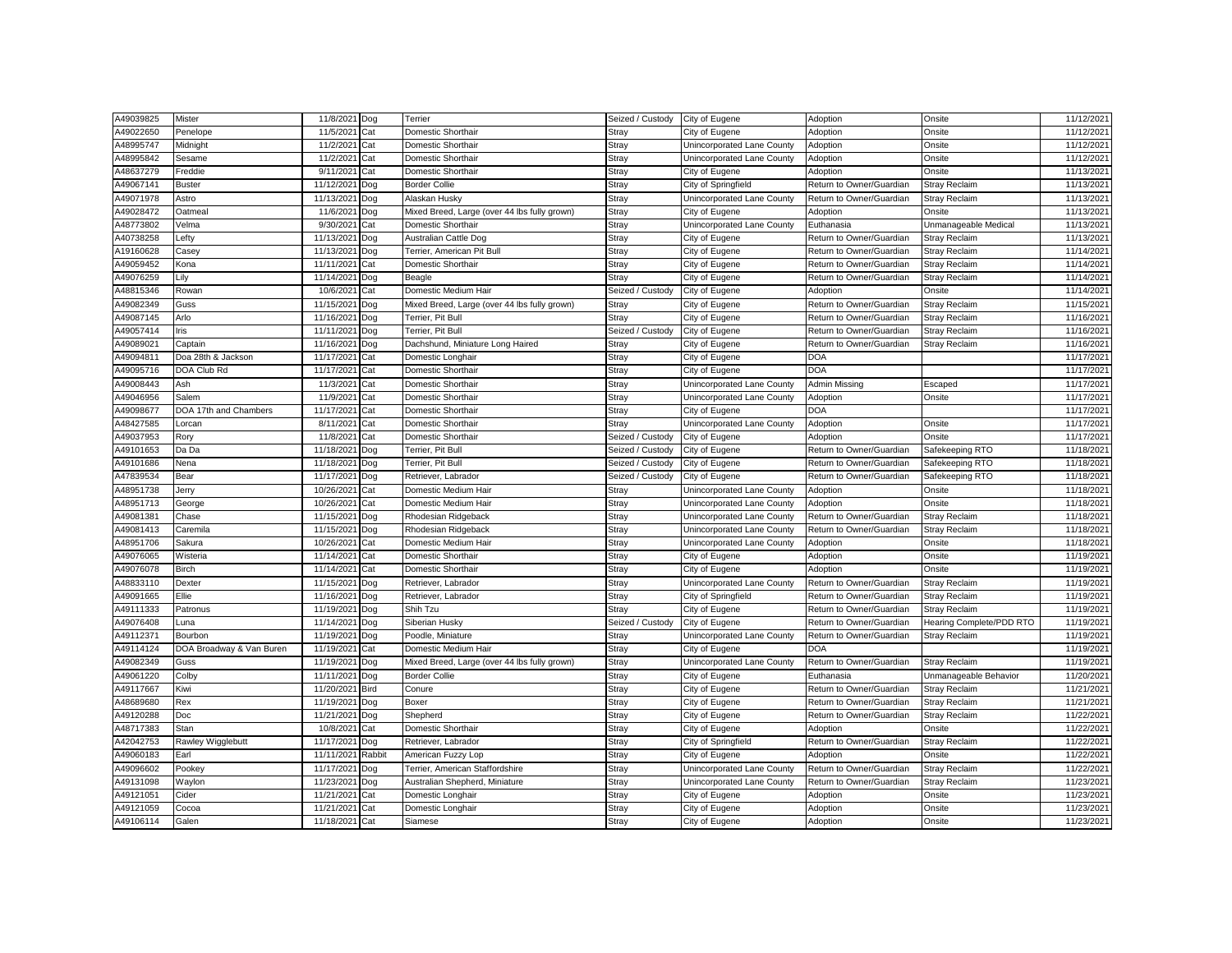| A49039825 | Mister                   | 11/8/2021  | Dog         | Terrier                                      | Seized / Custody | City of Eugene             | Adoption                 | Onsite                   | 11/12/2021 |
|-----------|--------------------------|------------|-------------|----------------------------------------------|------------------|----------------------------|--------------------------|--------------------------|------------|
| A49022650 | Penelope                 | 11/5/2021  | Cat         | Domestic Shorthair                           | Stray            | City of Eugene             | Adoption                 | Onsite                   | 11/12/2021 |
| A48995747 | Midnight                 | 11/2/2021  | Cat         | Domestic Shorthair                           | Stray            | Unincorporated Lane County | Adoption                 | Onsite                   | 11/12/2021 |
| A48995842 | Sesame                   | 11/2/2021  | Cat         | Domestic Shorthair                           | Stray            | Unincorporated Lane County | Adoption                 | Onsite                   | 11/12/2021 |
| A48637279 | Freddie                  | 9/11/202   | Cat         | Domestic Shorthair                           | Stray            | City of Eugene             | Adoption                 | Onsite                   | 11/13/2021 |
| A49067141 | <b>Buster</b>            | 11/12/2021 | Dog         | <b>Border Collie</b>                         | Stray            | City of Springfield        | Return to Owner/Guardian | <b>Stray Reclaim</b>     | 11/13/2021 |
| A49071978 | Astro                    | 11/13/202  | Dog         | Alaskan Husky                                | Stray            | Unincorporated Lane County | Return to Owner/Guardian | Stray Reclaim            | 11/13/202  |
| A49028472 | Oatmeal                  | 11/6/2021  | Dog         | Mixed Breed, Large (over 44 lbs fully grown) | Stray            | City of Eugene             | Adoption                 | Onsite                   | 11/13/2021 |
| A48773802 | Velma                    | 9/30/2021  | Cat         | Domestic Shorthair                           | Stray            | Unincorporated Lane County | Euthanasia               | Unmanageable Medical     | 11/13/2021 |
| A40738258 | Lefty                    | 11/13/202  | Dog         | Australian Cattle Dog                        | Stray            | City of Eugene             | Return to Owner/Guardian | <b>Stray Reclaim</b>     | 11/13/202  |
| A19160628 | Casey                    | 11/13/2021 | Dog         | Terrier, American Pit Bull                   | Stray            | City of Eugene             | Return to Owner/Guardian | <b>Stray Reclaim</b>     | 11/14/202  |
| A49059452 | Kona                     | 11/11/2021 | Cat         | Domestic Shorthair                           | Stray            | City of Eugene             | Return to Owner/Guardian | Stray Reclaim            | 11/14/2021 |
| A49076259 | Lily                     | 11/14/2021 | Dog         | Beagle                                       | Stray            | City of Eugene             | Return to Owner/Guardian | <b>Stray Reclaim</b>     | 11/14/2021 |
| A48815346 | Rowan                    | 10/6/202   | Cat         | Domestic Medium Hair                         | Seized / Custody | City of Eugene             | Adoption                 | Onsite                   | 11/14/2021 |
| A49082349 | Guss                     | 11/15/2021 | Dog         | Mixed Breed, Large (over 44 lbs fully grown) | Stray            | City of Eugene             | Return to Owner/Guardian | <b>Stray Reclaim</b>     | 11/15/2021 |
| A49087145 | Arlo                     | 11/16/2021 | Dog         | Terrier, Pit Bull                            | Stray            | City of Eugene             | Return to Owner/Guardian | <b>Stray Reclaim</b>     | 11/16/202  |
| A49057414 | Iris                     | 11/11/2021 | Dog         | Terrier, Pit Bull                            | Seized / Custodv | City of Eugene             | Return to Owner/Guardian | <b>Stray Reclaim</b>     | 11/16/2021 |
| A49089021 | Captain                  | 11/16/2021 | Dog         | Dachshund, Miniature Long Haired             | Stray            | City of Eugene             | Return to Owner/Guardian | <b>Stray Reclaim</b>     | 11/16/2021 |
| A49094811 | Doa 28th & Jackson       | 11/17/2021 | Cat         | Domestic Longhair                            | Stray            | City of Eugene             | <b>DOA</b>               |                          | 11/17/2021 |
| A49095716 | DOA Club Rd              | 11/17/2021 | Cat         | Domestic Shorthair                           | Stray            | City of Eugene             | <b>DOA</b>               |                          | 11/17/2021 |
| A49008443 | Ash                      | 11/3/2021  | Cat         | Domestic Shorthair                           | Stray            | Unincorporated Lane County | <b>Admin Missing</b>     | Escaped                  | 11/17/2021 |
| A49046956 | Salem                    | 11/9/2021  | Cat         | Domestic Shorthair                           | Stray            | Unincorporated Lane County | Adoption                 | Onsite                   | 11/17/2021 |
| A49098677 | DOA 17th and Chambers    | 11/17/2021 | Cat         | Domestic Shorthair                           | Stray            | City of Eugene             | <b>DOA</b>               |                          | 11/17/2021 |
| A48427585 | Lorcan                   | 8/11/2021  | Cat         | Domestic Shorthair                           | Stray            | Unincorporated Lane County | Adoption                 | Onsite                   | 11/17/2021 |
| A49037953 | Rory                     | 11/8/2021  | Cat         | Domestic Shorthair                           | Seized / Custody | City of Eugene             | Adoption                 | Onsite                   | 11/17/2021 |
| A49101653 | Da Da                    | 11/18/202  | Dog         | Terrier, Pit Bull                            | Seized / Custody | City of Eugene             | Return to Owner/Guardian | Safekeeping RTO          | 11/18/2021 |
| A49101686 | Nena                     | 11/18/2021 | Dog         | Terrier, Pit Bull                            | Seized / Custody | City of Eugene             | Return to Owner/Guardian | Safekeeping RTO          | 11/18/2021 |
| A47839534 | Bear                     | 11/17/2021 | Dog         | Retriever, Labrador                          | Seized / Custody | City of Eugene             | Return to Owner/Guardian | Safekeeping RTO          | 11/18/2021 |
| A48951738 | Jerry                    | 10/26/2021 | Cat         | Domestic Medium Hair                         | Stray            | Unincorporated Lane County | Adoption                 | Onsite                   | 11/18/2021 |
| A48951713 | George                   | 10/26/202  | Cat         | Domestic Medium Hair                         | Stray            | Unincorporated Lane County | Adoption                 | Onsite                   | 11/18/202  |
| A49081381 | Chase                    | 11/15/202  | Dog         | Rhodesian Ridgeback                          | Stray            | Unincorporated Lane County | Return to Owner/Guardian | <b>Stray Reclaim</b>     | 11/18/2021 |
| A49081413 | Caremila                 | 11/15/202  | Dog         | Rhodesian Ridgeback                          | Stray            | Unincorporated Lane County | Return to Owner/Guardian | <b>Stray Reclaim</b>     | 11/18/2021 |
| A48951706 | Sakura                   | 10/26/2021 | Cat         | Domestic Medium Hair                         | Stray            | Unincorporated Lane County | Adoption                 | Onsite                   | 11/18/2021 |
| A49076065 | Wisteria                 | 11/14/2021 | Cat         | Domestic Shorthair                           | Stray            | City of Eugene             | Adoption                 | Onsite                   | 11/19/2021 |
| A49076078 | <b>Birch</b>             | 11/14/202  | Cat         | Domestic Shorthair                           | Stray            | City of Eugene             | Adoption                 | Onsite                   | 11/19/202  |
| A48833110 | Dexter                   | 11/15/202  | Dog         | Retriever, Labrador                          | Stray            | Unincorporated Lane County | Return to Owner/Guardian | <b>Stray Reclaim</b>     | 11/19/202  |
| A49091665 | Ellie                    | 11/16/2021 | Dog         | Retriever, Labrador                          | Stray            | City of Springfield        | Return to Owner/Guardian | <b>Stray Reclaim</b>     | 11/19/2021 |
| A49111333 | Patronus                 | 11/19/2021 | Dog         | Shih Tzu                                     | Stray            | City of Eugene             | Return to Owner/Guardian | <b>Stray Reclaim</b>     | 11/19/2021 |
| A49076408 | Luna                     | 11/14/202  | Dog         | Siberian Husky                               | Seized / Custody | City of Eugene             | Return to Owner/Guardian | Hearing Complete/PDD RTO | 11/19/202  |
| A49112371 | Bourbon                  | 11/19/2021 | Dog         | Poodle, Miniature                            | <b>Stray</b>     | Unincorporated Lane County | Return to Owner/Guardian | <b>Stray Reclaim</b>     | 11/19/2021 |
| A49114124 | DOA Broadway & Van Buren | 11/19/2021 | Cat         | Domestic Medium Hair                         | Stray            | City of Eugene             | <b>DOA</b>               |                          | 11/19/2021 |
| A49082349 | Guss                     | 11/19/2021 | Dog         | Mixed Breed, Large (over 44 lbs fully grown) | Stray            | Unincorporated Lane County | Return to Owner/Guardian | Stray Reclaim            | 11/19/2021 |
| A49061220 | Colby                    | 11/11/2021 | Dog         | <b>Border Collie</b>                         | Stray            | City of Eugene             | Euthanasia               | Unmanageable Behavior    | 11/20/2021 |
| A49117667 | Kiwi                     | 11/20/2021 | <b>Bird</b> | Conure                                       | Stray            | City of Eugene             | Return to Owner/Guardian | <b>Stray Reclaim</b>     | 11/21/2021 |
| A48689680 | Rex                      | 11/19/2021 | Dog         | Boxer                                        | Stray            | City of Eugene             | Return to Owner/Guardian | <b>Stray Reclaim</b>     | 11/21/2021 |
| A49120288 | Doc                      | 11/21/2021 | Dog         | Shepherd                                     | Stray            | City of Eugene             | Return to Owner/Guardian | <b>Stray Reclaim</b>     | 11/22/2021 |
| A48717383 | Stan                     | 10/8/2021  | Cat         | Domestic Shorthair                           | Stray            | City of Eugene             | Adoption                 | Onsite                   | 11/22/2021 |
| A42042753 | Rawley Wigglebutt        | 11/17/2021 | Dog         | Retriever, Labrador                          | Stray            | City of Springfield        | Return to Owner/Guardian | <b>Stray Reclaim</b>     | 11/22/2021 |
| A49060183 | Earl                     | 11/11/2021 | Rabbit      | American Fuzzy Lop                           | Stray            | City of Eugene             | Adoption                 | Onsite                   | 11/22/2021 |
| A49096602 | Pookey                   | 11/17/2021 | Dog         | Terrier, American Staffordshire              | Stray            | Unincorporated Lane County | Return to Owner/Guardian | Stray Reclaim            | 11/22/2021 |
| A49131098 | Waylon                   | 11/23/2021 | Dog         | Australian Shepherd, Miniature               | Stray            | Unincorporated Lane County | Return to Owner/Guardian | <b>Stray Reclaim</b>     | 11/23/2021 |
| A49121051 | Cider                    | 11/21/2021 | Cat         | Domestic Longhair                            | Stray            | City of Eugene             | Adoption                 | Onsite                   | 11/23/2021 |
| A49121059 | Cocoa                    | 11/21/2021 | Cat         | Domestic Longhair                            | Stray            | City of Eugene             | Adoption                 | Onsite                   | 11/23/2021 |
| A49106114 | Galen                    | 11/18/2021 | Cat         | Siamese                                      | Stray            | City of Eugene             | Adoption                 | Onsite                   | 11/23/2021 |
|           |                          |            |             |                                              |                  |                            |                          |                          |            |